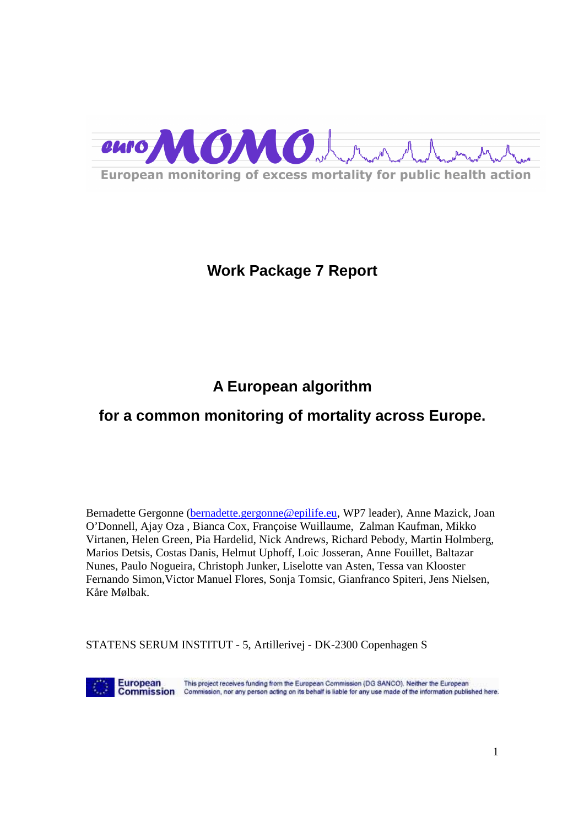

# **Work Package 7 Report**

# **A European algorithm**

# **for a common monitoring of mortality across Europe.**

Bernadette Gergonne (bernadette.gergonne@epilife.eu, WP7 leader), Anne Mazick, Joan O'Donnell, Ajay Oza , Bianca Cox, Françoise Wuillaume, Zalman Kaufman, Mikko Virtanen, Helen Green, Pia Hardelid, Nick Andrews, Richard Pebody, Martin Holmberg, Marios Detsis, Costas Danis, Helmut Uphoff, Loic Josseran, Anne Fouillet, Baltazar Nunes, Paulo Nogueira, Christoph Junker, Liselotte van Asten, Tessa van Klooster Fernando Simon,Victor Manuel Flores, Sonja Tomsic, Gianfranco Spiteri, Jens Nielsen, Kåre Mølbak.

STATENS SERUM INSTITUT - 5, Artillerivej - DK-2300 Copenhagen S

**European** 

This project receives funding from the European Commission (DG SANCO). Neither the European Commission Commission, nor any person acting on its behalf is liable for any use made of the information published here.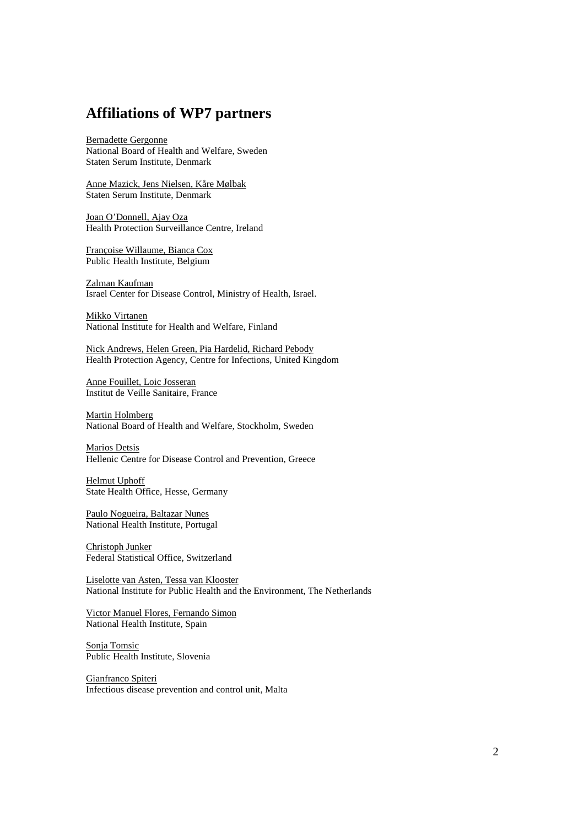## **Affiliations of WP7 partners**

Bernadette Gergonne National Board of Health and Welfare, Sweden Staten Serum Institute, Denmark

Anne Mazick, Jens Nielsen, Kåre Mølbak Staten Serum Institute, Denmark

Joan O'Donnell, Ajay Oza Health Protection Surveillance Centre, Ireland

Françoise Willaume, Bianca Cox Public Health Institute, Belgium

Zalman Kaufman Israel Center for Disease Control, Ministry of Health, Israel.

Mikko Virtanen National Institute for Health and Welfare, Finland

Nick Andrews, Helen Green, Pia Hardelid, Richard Pebody Health Protection Agency, Centre for Infections, United Kingdom

Anne Fouillet, Loic Josseran Institut de Veille Sanitaire, France

Martin Holmberg National Board of Health and Welfare, Stockholm, Sweden

Marios Detsis Hellenic Centre for Disease Control and Prevention, Greece

Helmut Uphoff State Health Office, Hesse, Germany

Paulo Nogueira, Baltazar Nunes National Health Institute, Portugal

Christoph Junker Federal Statistical Office, Switzerland

Liselotte van Asten, Tessa van Klooster National Institute for Public Health and the Environment, The Netherlands

Victor Manuel Flores, Fernando Simon National Health Institute, Spain

Sonja Tomsic Public Health Institute, Slovenia

Gianfranco Spiteri Infectious disease prevention and control unit, Malta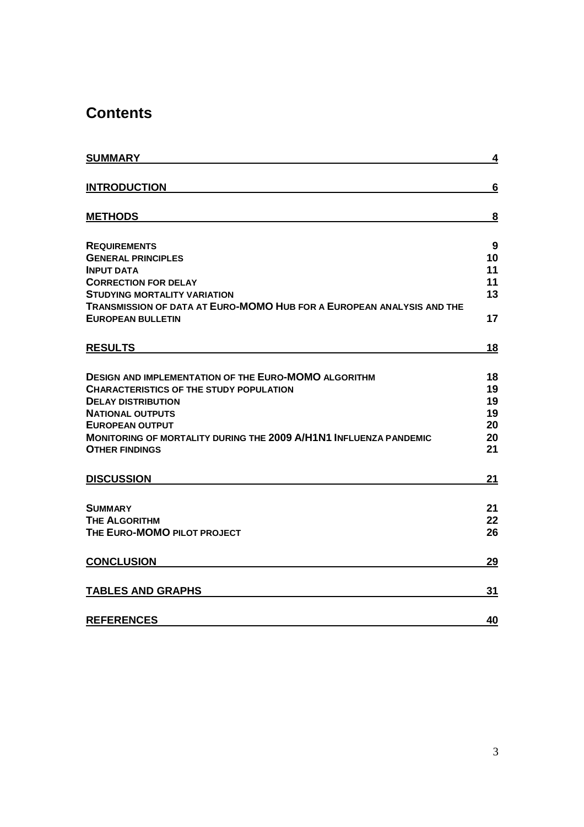# **Contents**

| <b>SUMMARY</b>                                                           | <u>4</u> |
|--------------------------------------------------------------------------|----------|
| <b>INTRODUCTION</b>                                                      | 6        |
| <b>METHODS</b>                                                           | 8        |
|                                                                          |          |
| <b>REQUIREMENTS</b>                                                      | 9<br>10  |
| <b>GENERAL PRINCIPLES</b><br><b>INPUT DATA</b>                           | 11       |
| <b>CORRECTION FOR DELAY</b>                                              | 11       |
| <b>STUDYING MORTALITY VARIATION</b>                                      | 13       |
| TRANSMISSION OF DATA AT EURO-MOMO HUB FOR A EUROPEAN ANALYSIS AND THE    |          |
| <b>EUROPEAN BULLETIN</b>                                                 | 17       |
| <b>RESULTS</b>                                                           | 18       |
| <b>DESIGN AND IMPLEMENTATION OF THE EURO-MOMO ALGORITHM</b>              | 18       |
| <b>CHARACTERISTICS OF THE STUDY POPULATION</b>                           | 19       |
| <b>DELAY DISTRIBUTION</b>                                                | 19       |
| <b>NATIONAL OUTPUTS</b>                                                  | 19       |
| <b>EUROPEAN OUTPUT</b>                                                   | 20       |
| <b>MONITORING OF MORTALITY DURING THE 2009 A/H1N1 INFLUENZA PANDEMIC</b> | 20       |
| <b>OTHER FINDINGS</b>                                                    | 21       |
| <b>DISCUSSION</b>                                                        | 21       |
| <b>SUMMARY</b>                                                           | 21       |
| <b>THE ALGORITHM</b>                                                     | 22       |
| THE EURO-MOMO PILOT PROJECT                                              | 26       |
| <b>CONCLUSION</b>                                                        | 29       |
| <b>TABLES AND GRAPHS</b>                                                 | 31       |
| <b>REFERENCES</b>                                                        | 40       |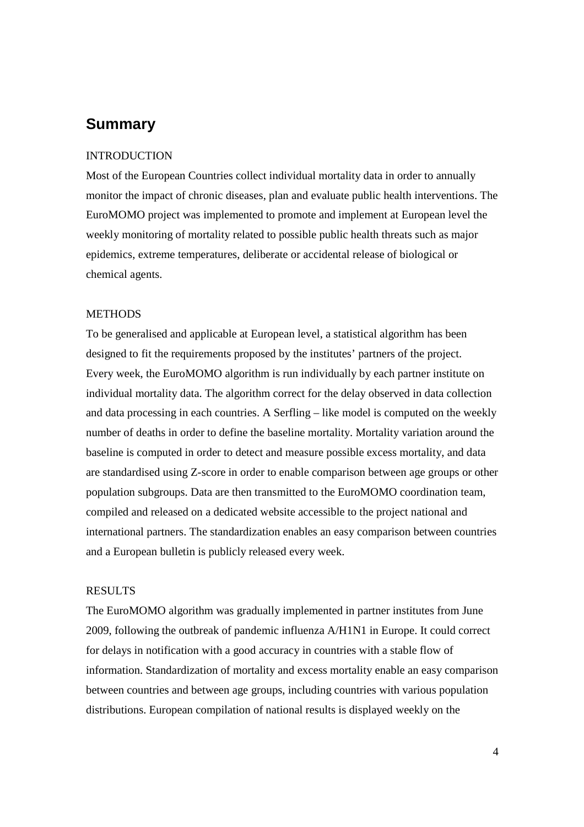# **Summary**

### INTRODUCTION

Most of the European Countries collect individual mortality data in order to annually monitor the impact of chronic diseases, plan and evaluate public health interventions. The EuroMOMO project was implemented to promote and implement at European level the weekly monitoring of mortality related to possible public health threats such as major epidemics, extreme temperatures, deliberate or accidental release of biological or chemical agents.

### **METHODS**

To be generalised and applicable at European level, a statistical algorithm has been designed to fit the requirements proposed by the institutes' partners of the project. Every week, the EuroMOMO algorithm is run individually by each partner institute on individual mortality data. The algorithm correct for the delay observed in data collection and data processing in each countries. A Serfling – like model is computed on the weekly number of deaths in order to define the baseline mortality. Mortality variation around the baseline is computed in order to detect and measure possible excess mortality, and data are standardised using Z-score in order to enable comparison between age groups or other population subgroups. Data are then transmitted to the EuroMOMO coordination team, compiled and released on a dedicated website accessible to the project national and international partners. The standardization enables an easy comparison between countries and a European bulletin is publicly released every week.

#### RESULTS

The EuroMOMO algorithm was gradually implemented in partner institutes from June 2009, following the outbreak of pandemic influenza A/H1N1 in Europe. It could correct for delays in notification with a good accuracy in countries with a stable flow of information. Standardization of mortality and excess mortality enable an easy comparison between countries and between age groups, including countries with various population distributions. European compilation of national results is displayed weekly on the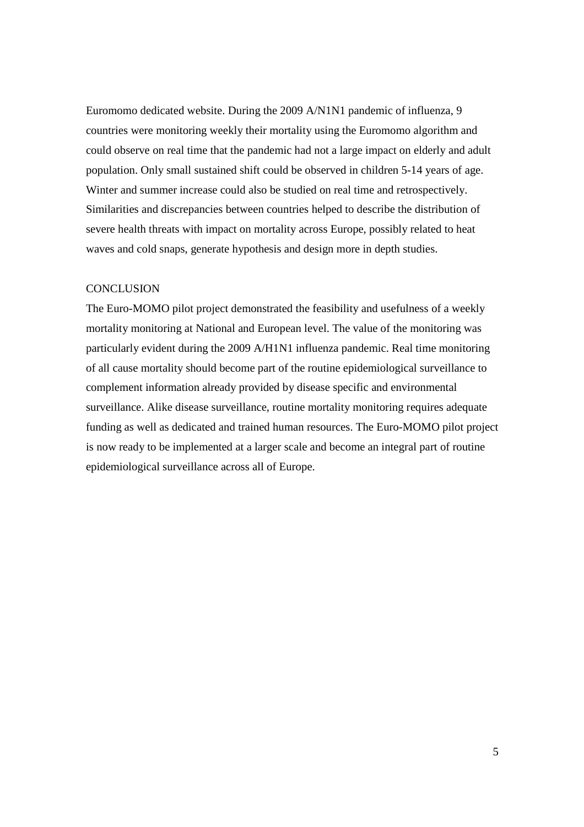Euromomo dedicated website. During the 2009 A/N1N1 pandemic of influenza, 9 countries were monitoring weekly their mortality using the Euromomo algorithm and could observe on real time that the pandemic had not a large impact on elderly and adult population. Only small sustained shift could be observed in children 5-14 years of age. Winter and summer increase could also be studied on real time and retrospectively. Similarities and discrepancies between countries helped to describe the distribution of severe health threats with impact on mortality across Europe, possibly related to heat waves and cold snaps, generate hypothesis and design more in depth studies.

### **CONCLUSION**

The Euro-MOMO pilot project demonstrated the feasibility and usefulness of a weekly mortality monitoring at National and European level. The value of the monitoring was particularly evident during the 2009 A/H1N1 influenza pandemic. Real time monitoring of all cause mortality should become part of the routine epidemiological surveillance to complement information already provided by disease specific and environmental surveillance. Alike disease surveillance, routine mortality monitoring requires adequate funding as well as dedicated and trained human resources. The Euro-MOMO pilot project is now ready to be implemented at a larger scale and become an integral part of routine epidemiological surveillance across all of Europe.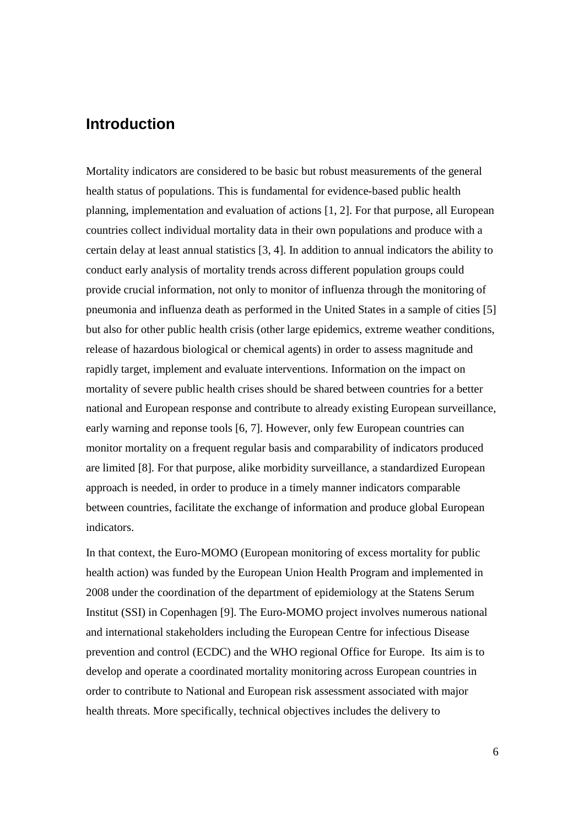## **Introduction**

Mortality indicators are considered to be basic but robust measurements of the general health status of populations. This is fundamental for evidence-based public health planning, implementation and evaluation of actions [1, 2]. For that purpose, all European countries collect individual mortality data in their own populations and produce with a certain delay at least annual statistics [3, 4]. In addition to annual indicators the ability to conduct early analysis of mortality trends across different population groups could provide crucial information, not only to monitor of influenza through the monitoring of pneumonia and influenza death as performed in the United States in a sample of cities [5] but also for other public health crisis (other large epidemics, extreme weather conditions, release of hazardous biological or chemical agents) in order to assess magnitude and rapidly target, implement and evaluate interventions. Information on the impact on mortality of severe public health crises should be shared between countries for a better national and European response and contribute to already existing European surveillance, early warning and reponse tools [6, 7]. However, only few European countries can monitor mortality on a frequent regular basis and comparability of indicators produced are limited [8]. For that purpose, alike morbidity surveillance, a standardized European approach is needed, in order to produce in a timely manner indicators comparable between countries, facilitate the exchange of information and produce global European indicators.

In that context, the Euro-MOMO (European monitoring of excess mortality for public health action) was funded by the European Union Health Program and implemented in 2008 under the coordination of the department of epidemiology at the Statens Serum Institut (SSI) in Copenhagen [9]. The Euro-MOMO project involves numerous national and international stakeholders including the European Centre for infectious Disease prevention and control (ECDC) and the WHO regional Office for Europe. Its aim is to develop and operate a coordinated mortality monitoring across European countries in order to contribute to National and European risk assessment associated with major health threats. More specifically, technical objectives includes the delivery to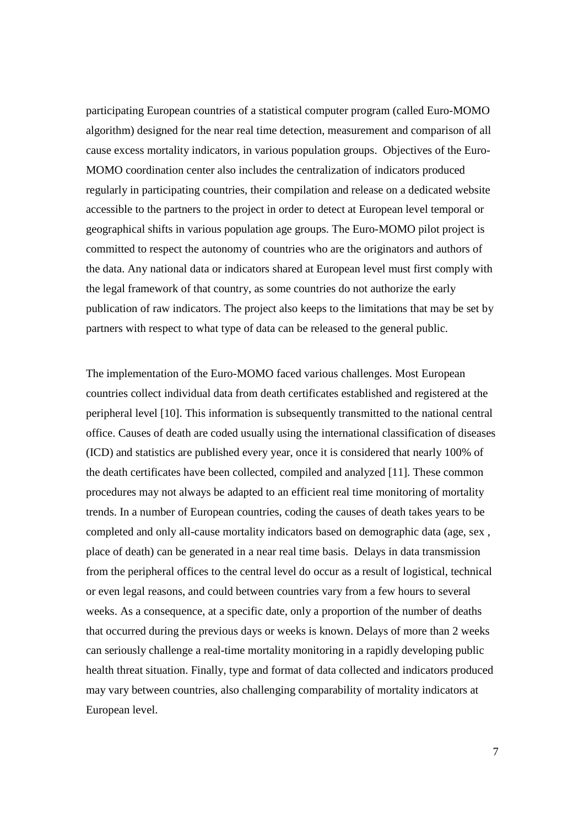participating European countries of a statistical computer program (called Euro-MOMO algorithm) designed for the near real time detection, measurement and comparison of all cause excess mortality indicators, in various population groups. Objectives of the Euro-MOMO coordination center also includes the centralization of indicators produced regularly in participating countries, their compilation and release on a dedicated website accessible to the partners to the project in order to detect at European level temporal or geographical shifts in various population age groups. The Euro-MOMO pilot project is committed to respect the autonomy of countries who are the originators and authors of the data. Any national data or indicators shared at European level must first comply with the legal framework of that country, as some countries do not authorize the early publication of raw indicators. The project also keeps to the limitations that may be set by partners with respect to what type of data can be released to the general public.

The implementation of the Euro-MOMO faced various challenges. Most European countries collect individual data from death certificates established and registered at the peripheral level [10]. This information is subsequently transmitted to the national central office. Causes of death are coded usually using the international classification of diseases (ICD) and statistics are published every year, once it is considered that nearly 100% of the death certificates have been collected, compiled and analyzed [11]. These common procedures may not always be adapted to an efficient real time monitoring of mortality trends. In a number of European countries, coding the causes of death takes years to be completed and only all-cause mortality indicators based on demographic data (age, sex , place of death) can be generated in a near real time basis. Delays in data transmission from the peripheral offices to the central level do occur as a result of logistical, technical or even legal reasons, and could between countries vary from a few hours to several weeks. As a consequence, at a specific date, only a proportion of the number of deaths that occurred during the previous days or weeks is known. Delays of more than 2 weeks can seriously challenge a real-time mortality monitoring in a rapidly developing public health threat situation. Finally, type and format of data collected and indicators produced may vary between countries, also challenging comparability of mortality indicators at European level.

7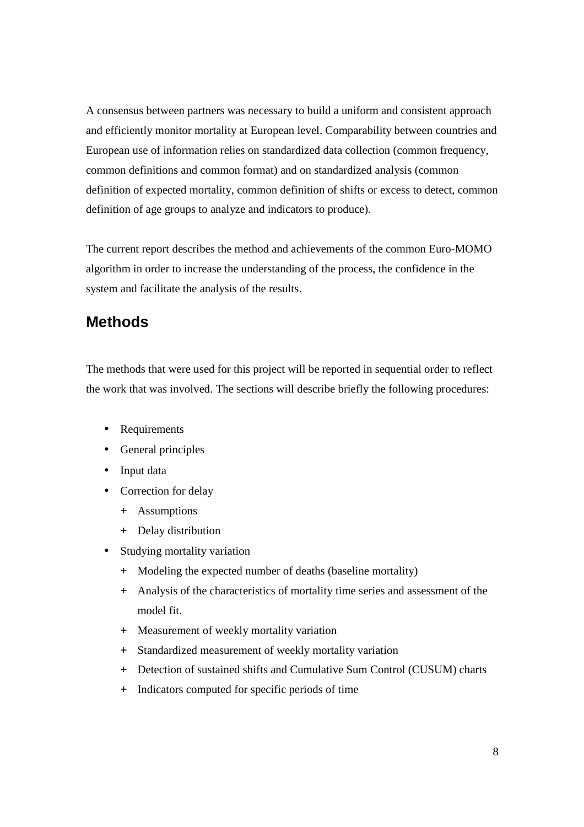A consensus between partners was necessary to build a uniform and consistent approach and efficiently monitor mortality at European level. Comparability between countries and European use of information relies on standardized data collection (common frequency, common definitions and common format) and on standardized analysis (common definition of expected mortality, common definition of shifts or excess to detect, common definition of age groups to analyze and indicators to produce).

The current report describes the method and achievements of the common Euro-MOMO algorithm in order to increase the understanding of the process, the confidence in the system and facilitate the analysis of the results.

# **Methods**

The methods that were used for this project will be reported in sequential order to reflect the work that was involved. The sections will describe briefly the following procedures:

- Requirements
- General principles
- Input data
- Correction for delay
	- + Assumptions
	- + Delay distribution
- Studying mortality variation
	- + Modeling the expected number of deaths (baseline mortality)
	- + Analysis of the characteristics of mortality time series and assessment of the model fit.
	- + Measurement of weekly mortality variation
	- + Standardized measurement of weekly mortality variation
	- + Detection of sustained shifts and Cumulative Sum Control (CUSUM) charts
	- + Indicators computed for specific periods of time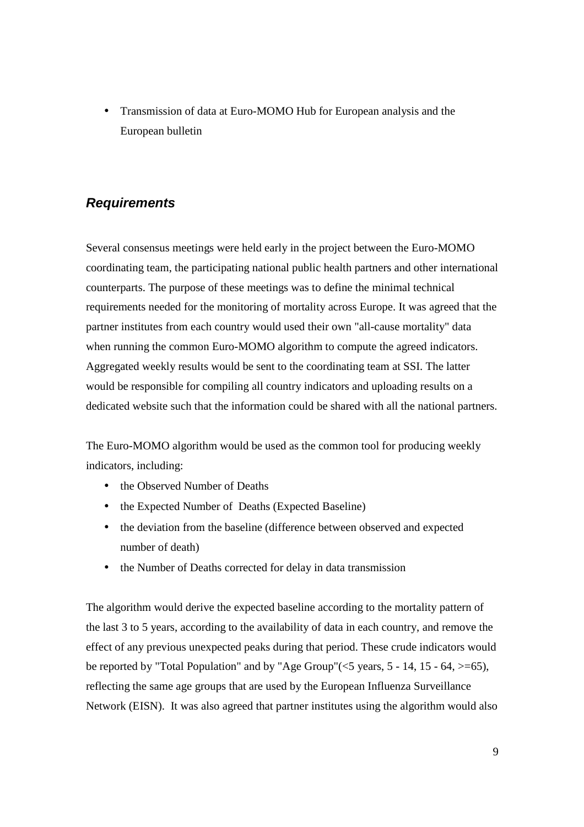• Transmission of data at Euro-MOMO Hub for European analysis and the European bulletin

## **Requirements**

Several consensus meetings were held early in the project between the Euro-MOMO coordinating team, the participating national public health partners and other international counterparts. The purpose of these meetings was to define the minimal technical requirements needed for the monitoring of mortality across Europe. It was agreed that the partner institutes from each country would used their own "all-cause mortality" data when running the common Euro-MOMO algorithm to compute the agreed indicators. Aggregated weekly results would be sent to the coordinating team at SSI. The latter would be responsible for compiling all country indicators and uploading results on a dedicated website such that the information could be shared with all the national partners.

The Euro-MOMO algorithm would be used as the common tool for producing weekly indicators, including:

- the Observed Number of Deaths
- the Expected Number of Deaths (Expected Baseline)
- the deviation from the baseline (difference between observed and expected number of death)
- the Number of Deaths corrected for delay in data transmission

The algorithm would derive the expected baseline according to the mortality pattern of the last 3 to 5 years, according to the availability of data in each country, and remove the effect of any previous unexpected peaks during that period. These crude indicators would be reported by "Total Population" and by "Age Group"( $\lt 5$  years,  $5 - 14$ ,  $15 - 64$ ,  $\gt 0.5$ ), reflecting the same age groups that are used by the European Influenza Surveillance Network (EISN). It was also agreed that partner institutes using the algorithm would also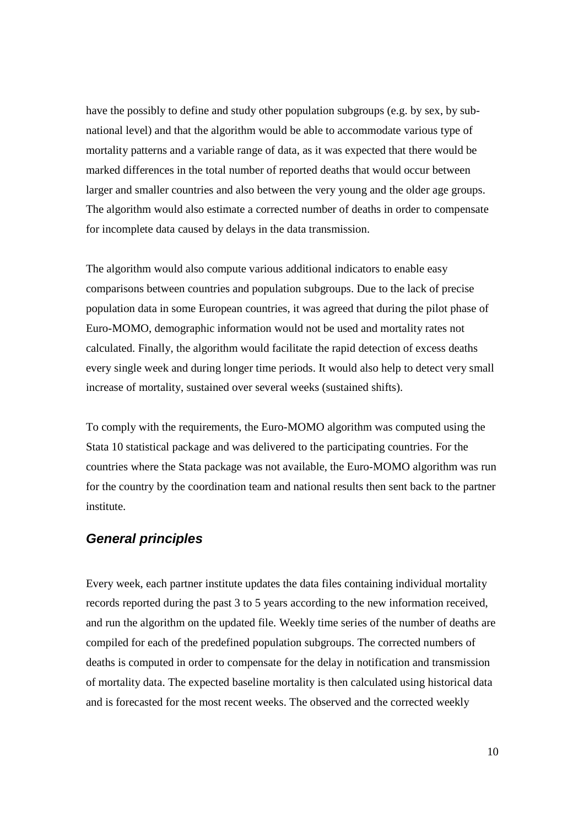have the possibly to define and study other population subgroups (e.g. by sex, by subnational level) and that the algorithm would be able to accommodate various type of mortality patterns and a variable range of data, as it was expected that there would be marked differences in the total number of reported deaths that would occur between larger and smaller countries and also between the very young and the older age groups. The algorithm would also estimate a corrected number of deaths in order to compensate for incomplete data caused by delays in the data transmission.

The algorithm would also compute various additional indicators to enable easy comparisons between countries and population subgroups. Due to the lack of precise population data in some European countries, it was agreed that during the pilot phase of Euro-MOMO, demographic information would not be used and mortality rates not calculated. Finally, the algorithm would facilitate the rapid detection of excess deaths every single week and during longer time periods. It would also help to detect very small increase of mortality, sustained over several weeks (sustained shifts).

To comply with the requirements, the Euro-MOMO algorithm was computed using the Stata 10 statistical package and was delivered to the participating countries. For the countries where the Stata package was not available, the Euro-MOMO algorithm was run for the country by the coordination team and national results then sent back to the partner institute.

## **General principles**

Every week, each partner institute updates the data files containing individual mortality records reported during the past 3 to 5 years according to the new information received, and run the algorithm on the updated file. Weekly time series of the number of deaths are compiled for each of the predefined population subgroups. The corrected numbers of deaths is computed in order to compensate for the delay in notification and transmission of mortality data. The expected baseline mortality is then calculated using historical data and is forecasted for the most recent weeks. The observed and the corrected weekly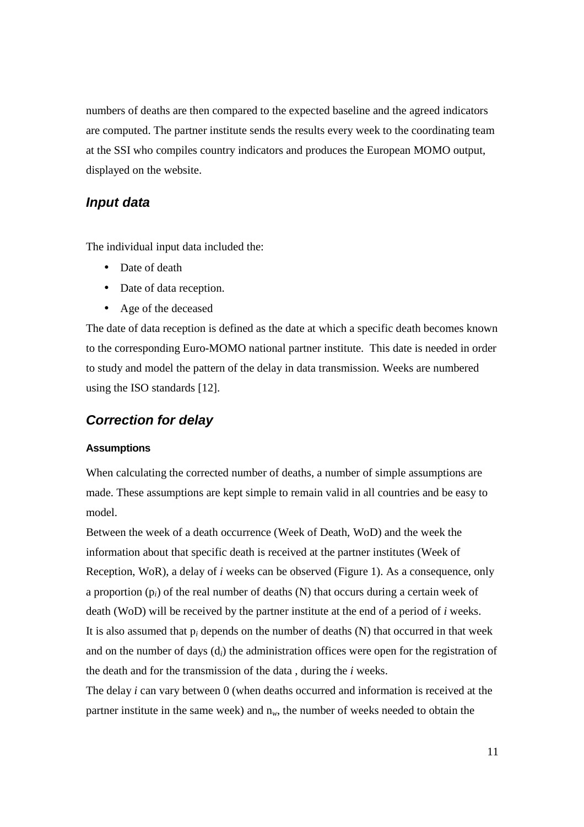numbers of deaths are then compared to the expected baseline and the agreed indicators are computed. The partner institute sends the results every week to the coordinating team at the SSI who compiles country indicators and produces the European MOMO output, displayed on the website.

### **Input data**

The individual input data included the:

- Date of death
- Date of data reception.
- Age of the deceased

The date of data reception is defined as the date at which a specific death becomes known to the corresponding Euro-MOMO national partner institute. This date is needed in order to study and model the pattern of the delay in data transmission. Weeks are numbered using the ISO standards [12].

## **Correction for delay**

#### **Assumptions**

When calculating the corrected number of deaths, a number of simple assumptions are made. These assumptions are kept simple to remain valid in all countries and be easy to model.

Between the week of a death occurrence (Week of Death, WoD) and the week the information about that specific death is received at the partner institutes (Week of Reception, WoR), a delay of *i* weeks can be observed (Figure 1). As a consequence, only a proportion (p*i*) of the real number of deaths (N) that occurs during a certain week of death (WoD) will be received by the partner institute at the end of a period of *i* weeks. It is also assumed that p*i* depends on the number of deaths (N) that occurred in that week and on the number of days (d*i*) the administration offices were open for the registration of the death and for the transmission of the data , during the *i* weeks.

The delay *i* can vary between 0 (when deaths occurred and information is received at the partner institute in the same week) and  $n_w$ , the number of weeks needed to obtain the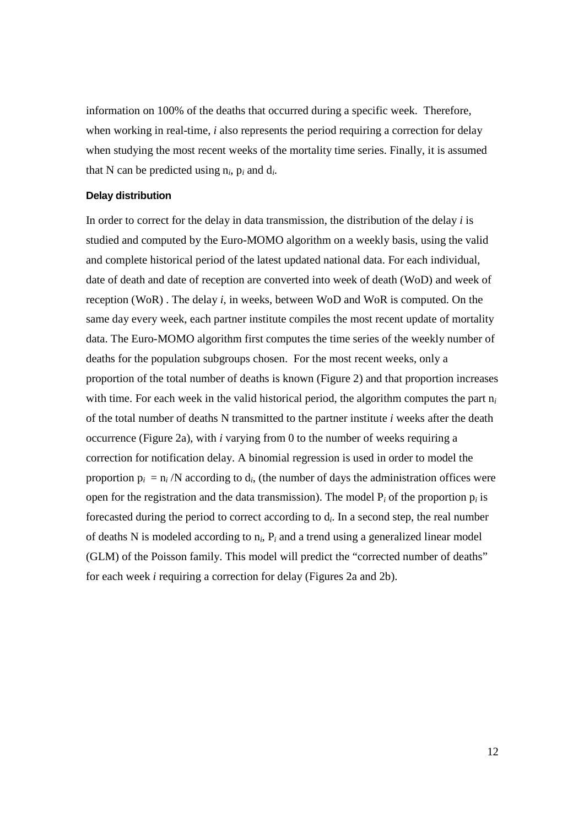information on 100% of the deaths that occurred during a specific week. Therefore, when working in real-time, *i* also represents the period requiring a correction for delay when studying the most recent weeks of the mortality time series. Finally, it is assumed that N can be predicted using  $n_i$ ,  $p_i$  and  $d_i$ .

#### **Delay distribution**

In order to correct for the delay in data transmission, the distribution of the delay *i* is studied and computed by the Euro-MOMO algorithm on a weekly basis, using the valid and complete historical period of the latest updated national data. For each individual, date of death and date of reception are converted into week of death (WoD) and week of reception (WoR) . The delay *i*, in weeks, between WoD and WoR is computed. On the same day every week, each partner institute compiles the most recent update of mortality data. The Euro-MOMO algorithm first computes the time series of the weekly number of deaths for the population subgroups chosen. For the most recent weeks, only a proportion of the total number of deaths is known (Figure 2) and that proportion increases with time. For each week in the valid historical period, the algorithm computes the part n*<sup>i</sup>* of the total number of deaths N transmitted to the partner institute *i* weeks after the death occurrence (Figure 2a), with *i* varying from 0 to the number of weeks requiring a correction for notification delay. A binomial regression is used in order to model the proportion  $p_i = n_i/N$  according to  $d_i$ , (the number of days the administration offices were open for the registration and the data transmission). The model  $P_i$  of the proportion  $p_i$  is forecasted during the period to correct according to d*<sup>i</sup>* . In a second step, the real number of deaths N is modeled according to n*i*, P*i* and a trend using a generalized linear model (GLM) of the Poisson family. This model will predict the "corrected number of deaths" for each week *i* requiring a correction for delay (Figures 2a and 2b).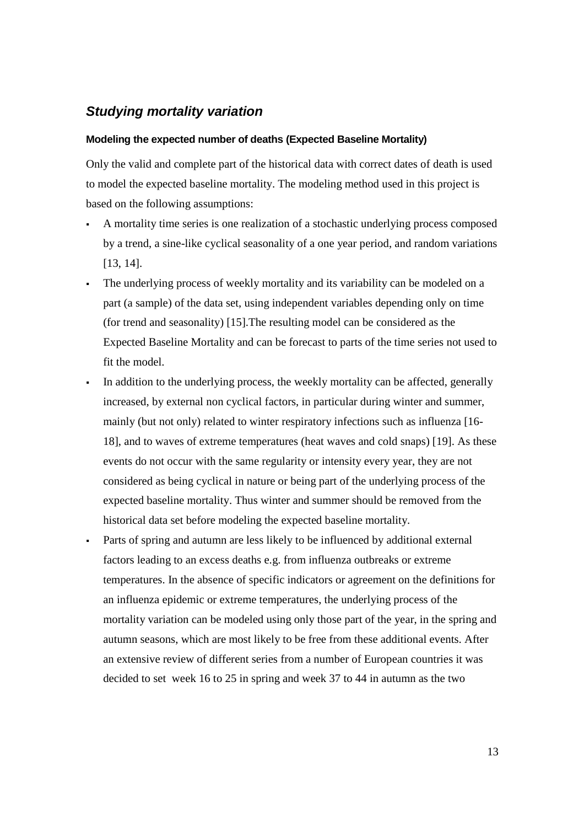## **Studying mortality variation**

#### **Modeling the expected number of deaths (Expected Baseline Mortality)**

Only the valid and complete part of the historical data with correct dates of death is used to model the expected baseline mortality. The modeling method used in this project is based on the following assumptions:

- A mortality time series is one realization of a stochastic underlying process composed by a trend, a sine-like cyclical seasonality of a one year period, and random variations [13, 14].
- The underlying process of weekly mortality and its variability can be modeled on a part (a sample) of the data set, using independent variables depending only on time (for trend and seasonality) [15].The resulting model can be considered as the Expected Baseline Mortality and can be forecast to parts of the time series not used to fit the model.
- In addition to the underlying process, the weekly mortality can be affected, generally increased, by external non cyclical factors, in particular during winter and summer, mainly (but not only) related to winter respiratory infections such as influenza [16- 18], and to waves of extreme temperatures (heat waves and cold snaps) [19]. As these events do not occur with the same regularity or intensity every year, they are not considered as being cyclical in nature or being part of the underlying process of the expected baseline mortality. Thus winter and summer should be removed from the historical data set before modeling the expected baseline mortality.
- Parts of spring and autumn are less likely to be influenced by additional external factors leading to an excess deaths e.g. from influenza outbreaks or extreme temperatures. In the absence of specific indicators or agreement on the definitions for an influenza epidemic or extreme temperatures, the underlying process of the mortality variation can be modeled using only those part of the year, in the spring and autumn seasons, which are most likely to be free from these additional events. After an extensive review of different series from a number of European countries it was decided to set week 16 to 25 in spring and week 37 to 44 in autumn as the two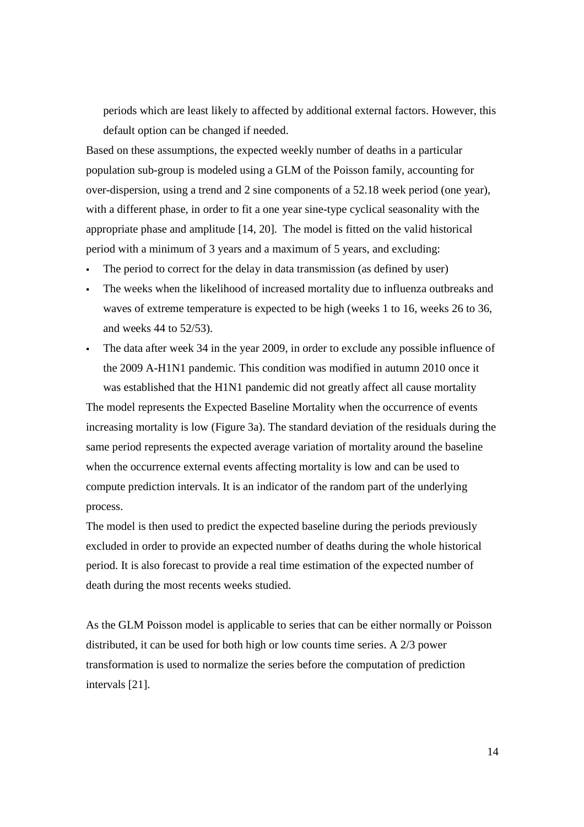periods which are least likely to affected by additional external factors. However, this default option can be changed if needed.

Based on these assumptions, the expected weekly number of deaths in a particular population sub-group is modeled using a GLM of the Poisson family, accounting for over-dispersion, using a trend and 2 sine components of a 52.18 week period (one year), with a different phase, in order to fit a one year sine-type cyclical seasonality with the appropriate phase and amplitude [14, 20]. The model is fitted on the valid historical period with a minimum of 3 years and a maximum of 5 years, and excluding:

- The period to correct for the delay in data transmission (as defined by user)
- The weeks when the likelihood of increased mortality due to influenza outbreaks and waves of extreme temperature is expected to be high (weeks 1 to 16, weeks 26 to 36, and weeks 44 to 52/53).
- The data after week 34 in the year 2009, in order to exclude any possible influence of the 2009 A-H1N1 pandemic. This condition was modified in autumn 2010 once it was established that the H1N1 pandemic did not greatly affect all cause mortality

The model represents the Expected Baseline Mortality when the occurrence of events increasing mortality is low (Figure 3a). The standard deviation of the residuals during the same period represents the expected average variation of mortality around the baseline when the occurrence external events affecting mortality is low and can be used to compute prediction intervals. It is an indicator of the random part of the underlying process.

The model is then used to predict the expected baseline during the periods previously excluded in order to provide an expected number of deaths during the whole historical period. It is also forecast to provide a real time estimation of the expected number of death during the most recents weeks studied.

As the GLM Poisson model is applicable to series that can be either normally or Poisson distributed, it can be used for both high or low counts time series. A 2/3 power transformation is used to normalize the series before the computation of prediction intervals [21].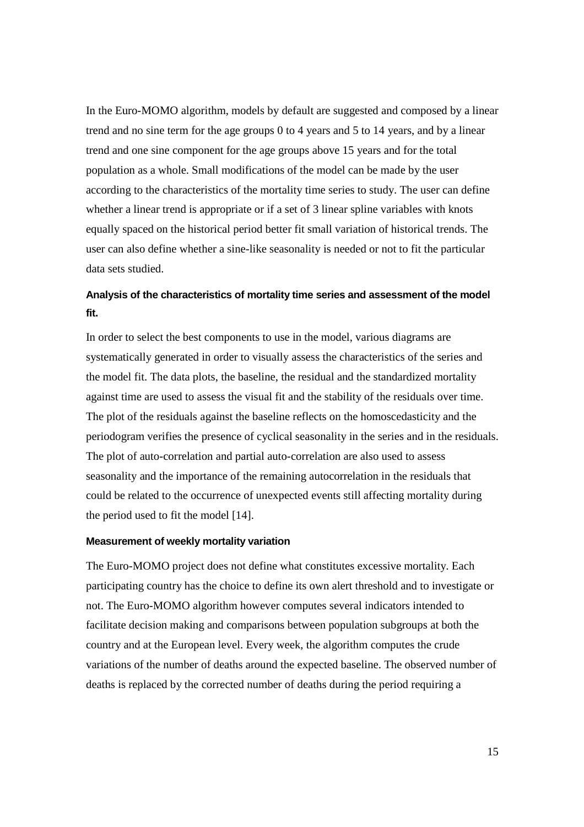In the Euro-MOMO algorithm, models by default are suggested and composed by a linear trend and no sine term for the age groups 0 to 4 years and 5 to 14 years, and by a linear trend and one sine component for the age groups above 15 years and for the total population as a whole. Small modifications of the model can be made by the user according to the characteristics of the mortality time series to study. The user can define whether a linear trend is appropriate or if a set of 3 linear spline variables with knots equally spaced on the historical period better fit small variation of historical trends. The user can also define whether a sine-like seasonality is needed or not to fit the particular data sets studied.

## **Analysis of the characteristics of mortality time series and assessment of the model fit.**

In order to select the best components to use in the model, various diagrams are systematically generated in order to visually assess the characteristics of the series and the model fit. The data plots, the baseline, the residual and the standardized mortality against time are used to assess the visual fit and the stability of the residuals over time. The plot of the residuals against the baseline reflects on the homoscedasticity and the periodogram verifies the presence of cyclical seasonality in the series and in the residuals. The plot of auto-correlation and partial auto-correlation are also used to assess seasonality and the importance of the remaining autocorrelation in the residuals that could be related to the occurrence of unexpected events still affecting mortality during the period used to fit the model [14].

#### **Measurement of weekly mortality variation**

The Euro-MOMO project does not define what constitutes excessive mortality. Each participating country has the choice to define its own alert threshold and to investigate or not. The Euro-MOMO algorithm however computes several indicators intended to facilitate decision making and comparisons between population subgroups at both the country and at the European level. Every week, the algorithm computes the crude variations of the number of deaths around the expected baseline. The observed number of deaths is replaced by the corrected number of deaths during the period requiring a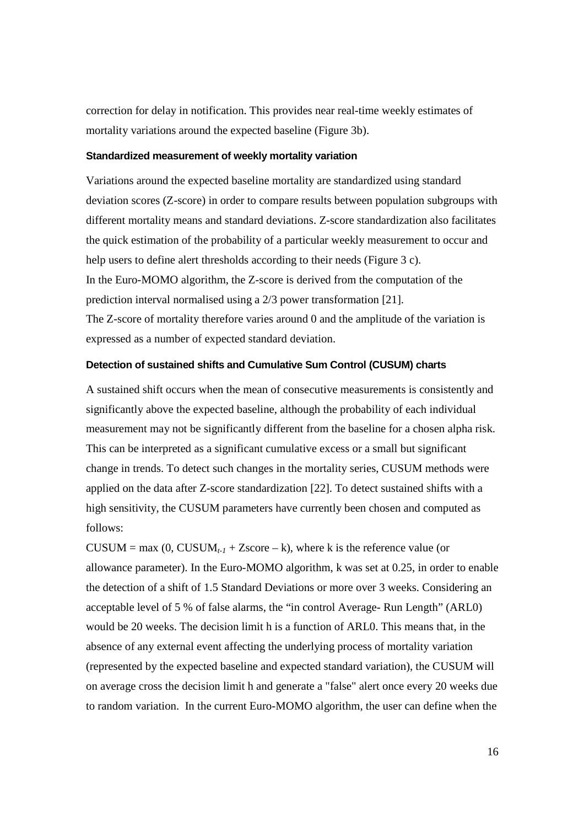correction for delay in notification. This provides near real-time weekly estimates of mortality variations around the expected baseline (Figure 3b).

### **Standardized measurement of weekly mortality variation**

Variations around the expected baseline mortality are standardized using standard deviation scores (Z-score) in order to compare results between population subgroups with different mortality means and standard deviations. Z-score standardization also facilitates the quick estimation of the probability of a particular weekly measurement to occur and help users to define alert thresholds according to their needs (Figure 3 c). In the Euro-MOMO algorithm, the Z-score is derived from the computation of the prediction interval normalised using a 2/3 power transformation [21]. The Z-score of mortality therefore varies around 0 and the amplitude of the variation is expressed as a number of expected standard deviation.

#### **Detection of sustained shifts and Cumulative Sum Control (CUSUM) charts**

A sustained shift occurs when the mean of consecutive measurements is consistently and significantly above the expected baseline, although the probability of each individual measurement may not be significantly different from the baseline for a chosen alpha risk. This can be interpreted as a significant cumulative excess or a small but significant change in trends. To detect such changes in the mortality series, CUSUM methods were applied on the data after Z-score standardization [22]. To detect sustained shifts with a high sensitivity, the CUSUM parameters have currently been chosen and computed as follows:

CUSUM = max  $(0, CVSUM_{t-1} + Zscore - k)$ , where k is the reference value (or allowance parameter). In the Euro-MOMO algorithm, k was set at 0.25, in order to enable the detection of a shift of 1.5 Standard Deviations or more over 3 weeks. Considering an acceptable level of 5 % of false alarms, the "in control Average- Run Length" (ARL0) would be 20 weeks. The decision limit h is a function of ARL0. This means that, in the absence of any external event affecting the underlying process of mortality variation (represented by the expected baseline and expected standard variation), the CUSUM will on average cross the decision limit h and generate a "false" alert once every 20 weeks due to random variation. In the current Euro-MOMO algorithm, the user can define when the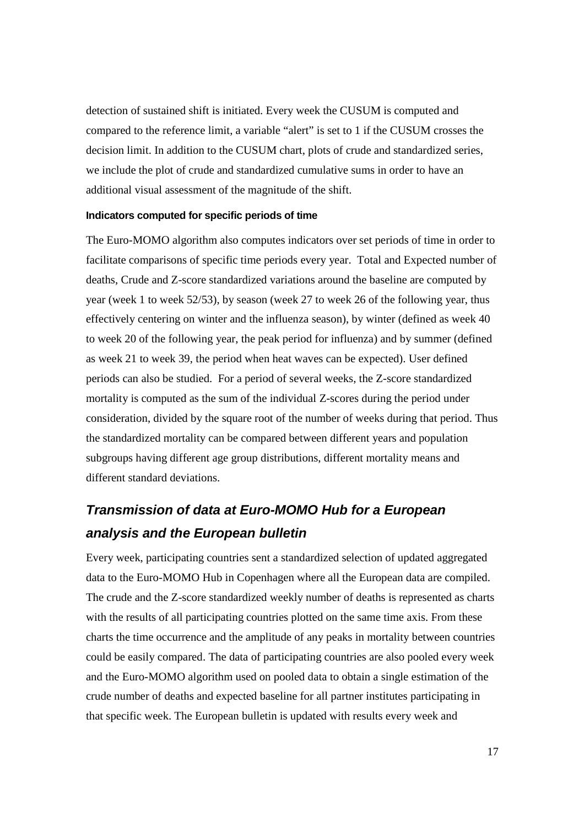detection of sustained shift is initiated. Every week the CUSUM is computed and compared to the reference limit, a variable "alert" is set to 1 if the CUSUM crosses the decision limit. In addition to the CUSUM chart, plots of crude and standardized series, we include the plot of crude and standardized cumulative sums in order to have an additional visual assessment of the magnitude of the shift.

#### **Indicators computed for specific periods of time**

The Euro-MOMO algorithm also computes indicators over set periods of time in order to facilitate comparisons of specific time periods every year. Total and Expected number of deaths, Crude and Z-score standardized variations around the baseline are computed by year (week 1 to week 52/53), by season (week 27 to week 26 of the following year, thus effectively centering on winter and the influenza season), by winter (defined as week 40 to week 20 of the following year, the peak period for influenza) and by summer (defined as week 21 to week 39, the period when heat waves can be expected). User defined periods can also be studied. For a period of several weeks, the Z-score standardized mortality is computed as the sum of the individual Z-scores during the period under consideration, divided by the square root of the number of weeks during that period. Thus the standardized mortality can be compared between different years and population subgroups having different age group distributions, different mortality means and different standard deviations.

# **Transmission of data at Euro-MOMO Hub for a European analysis and the European bulletin**

Every week, participating countries sent a standardized selection of updated aggregated data to the Euro-MOMO Hub in Copenhagen where all the European data are compiled. The crude and the Z-score standardized weekly number of deaths is represented as charts with the results of all participating countries plotted on the same time axis. From these charts the time occurrence and the amplitude of any peaks in mortality between countries could be easily compared. The data of participating countries are also pooled every week and the Euro-MOMO algorithm used on pooled data to obtain a single estimation of the crude number of deaths and expected baseline for all partner institutes participating in that specific week. The European bulletin is updated with results every week and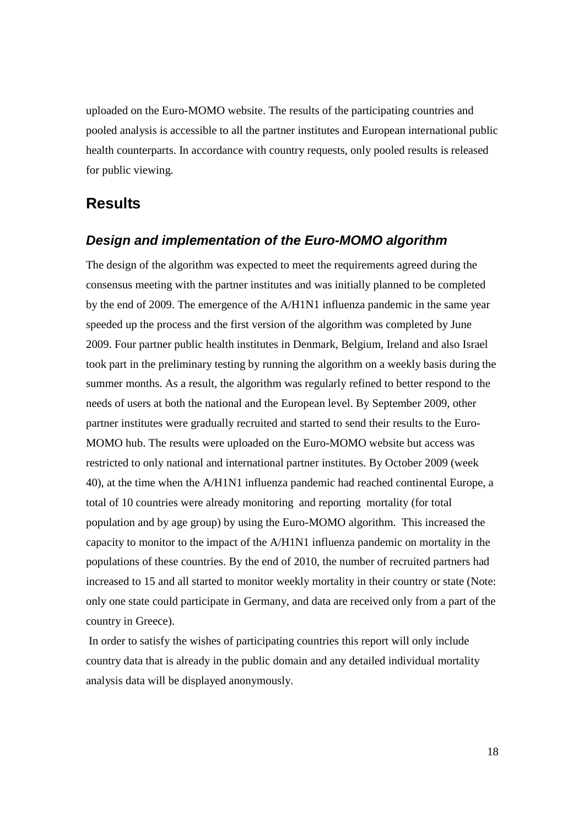uploaded on the Euro-MOMO website. The results of the participating countries and pooled analysis is accessible to all the partner institutes and European international public health counterparts. In accordance with country requests, only pooled results is released for public viewing.

## **Results**

### **Design and implementation of the Euro-MOMO algorithm**

The design of the algorithm was expected to meet the requirements agreed during the consensus meeting with the partner institutes and was initially planned to be completed by the end of 2009. The emergence of the A/H1N1 influenza pandemic in the same year speeded up the process and the first version of the algorithm was completed by June 2009. Four partner public health institutes in Denmark, Belgium, Ireland and also Israel took part in the preliminary testing by running the algorithm on a weekly basis during the summer months. As a result, the algorithm was regularly refined to better respond to the needs of users at both the national and the European level. By September 2009, other partner institutes were gradually recruited and started to send their results to the Euro-MOMO hub. The results were uploaded on the Euro-MOMO website but access was restricted to only national and international partner institutes. By October 2009 (week 40), at the time when the A/H1N1 influenza pandemic had reached continental Europe, a total of 10 countries were already monitoring and reporting mortality (for total population and by age group) by using the Euro-MOMO algorithm. This increased the capacity to monitor to the impact of the A/H1N1 influenza pandemic on mortality in the populations of these countries. By the end of 2010, the number of recruited partners had increased to 15 and all started to monitor weekly mortality in their country or state (Note: only one state could participate in Germany, and data are received only from a part of the country in Greece).

 In order to satisfy the wishes of participating countries this report will only include country data that is already in the public domain and any detailed individual mortality analysis data will be displayed anonymously.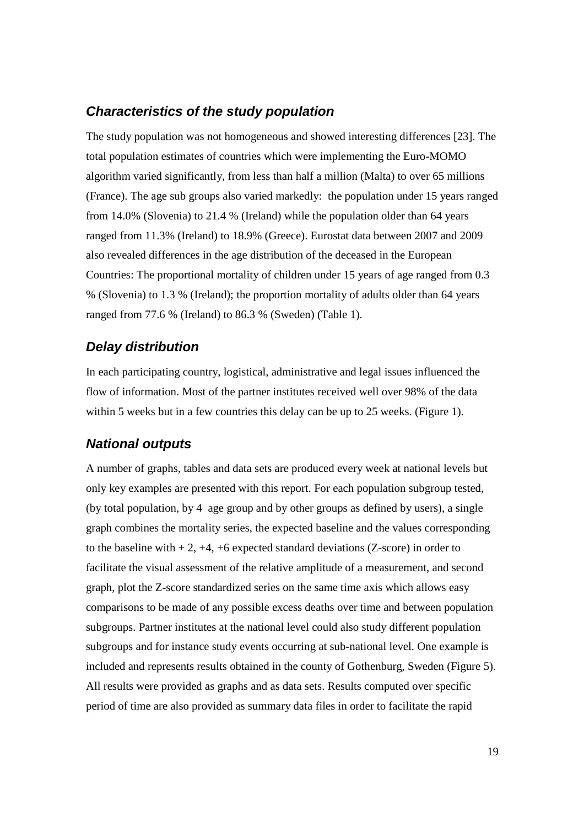## **Characteristics of the study population**

The study population was not homogeneous and showed interesting differences [23]. The total population estimates of countries which were implementing the Euro-MOMO algorithm varied significantly, from less than half a million (Malta) to over 65 millions (France). The age sub groups also varied markedly: the population under 15 years ranged from 14.0% (Slovenia) to 21.4 % (Ireland) while the population older than 64 years ranged from 11.3% (Ireland) to 18.9% (Greece). Eurostat data between 2007 and 2009 also revealed differences in the age distribution of the deceased in the European Countries: The proportional mortality of children under 15 years of age ranged from 0.3 % (Slovenia) to 1.3 % (Ireland); the proportion mortality of adults older than 64 years ranged from 77.6 % (Ireland) to 86.3 % (Sweden) (Table 1).

## **Delay distribution**

In each participating country, logistical, administrative and legal issues influenced the flow of information. Most of the partner institutes received well over 98% of the data within 5 weeks but in a few countries this delay can be up to 25 weeks. (Figure 1).

## **National outputs**

A number of graphs, tables and data sets are produced every week at national levels but only key examples are presented with this report. For each population subgroup tested, (by total population, by 4 age group and by other groups as defined by users), a single graph combines the mortality series, the expected baseline and the values corresponding to the baseline with  $+ 2$ ,  $+4$ ,  $+6$  expected standard deviations (Z-score) in order to facilitate the visual assessment of the relative amplitude of a measurement, and second graph, plot the Z-score standardized series on the same time axis which allows easy comparisons to be made of any possible excess deaths over time and between population subgroups. Partner institutes at the national level could also study different population subgroups and for instance study events occurring at sub-national level. One example is included and represents results obtained in the county of Gothenburg, Sweden (Figure 5). All results were provided as graphs and as data sets. Results computed over specific period of time are also provided as summary data files in order to facilitate the rapid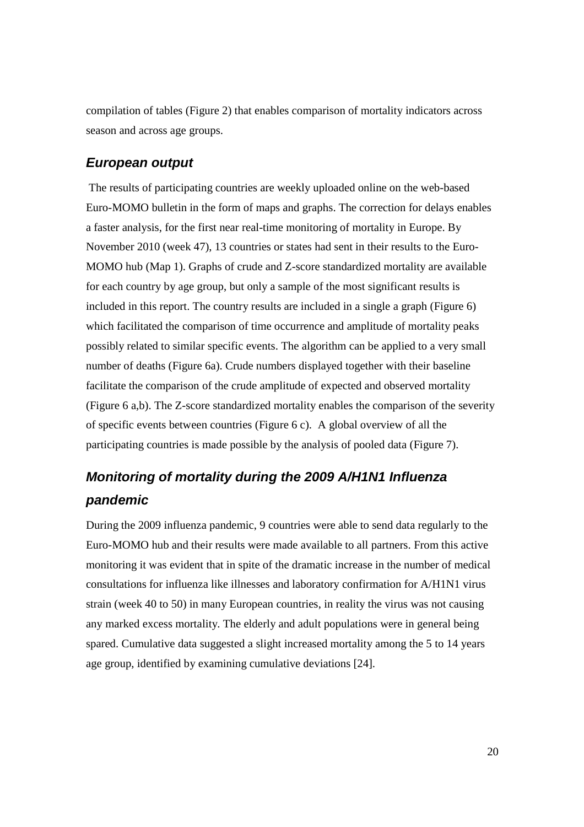compilation of tables (Figure 2) that enables comparison of mortality indicators across season and across age groups.

### **European output**

 The results of participating countries are weekly uploaded online on the web-based Euro-MOMO bulletin in the form of maps and graphs. The correction for delays enables a faster analysis, for the first near real-time monitoring of mortality in Europe. By November 2010 (week 47), 13 countries or states had sent in their results to the Euro-MOMO hub (Map 1). Graphs of crude and Z-score standardized mortality are available for each country by age group, but only a sample of the most significant results is included in this report. The country results are included in a single a graph (Figure 6) which facilitated the comparison of time occurrence and amplitude of mortality peaks possibly related to similar specific events. The algorithm can be applied to a very small number of deaths (Figure 6a). Crude numbers displayed together with their baseline facilitate the comparison of the crude amplitude of expected and observed mortality (Figure 6 a,b). The Z-score standardized mortality enables the comparison of the severity of specific events between countries (Figure 6 c). A global overview of all the participating countries is made possible by the analysis of pooled data (Figure 7).

# **Monitoring of mortality during the 2009 A/H1N1 Influenza pandemic**

During the 2009 influenza pandemic, 9 countries were able to send data regularly to the Euro-MOMO hub and their results were made available to all partners. From this active monitoring it was evident that in spite of the dramatic increase in the number of medical consultations for influenza like illnesses and laboratory confirmation for A/H1N1 virus strain (week 40 to 50) in many European countries, in reality the virus was not causing any marked excess mortality. The elderly and adult populations were in general being spared. Cumulative data suggested a slight increased mortality among the 5 to 14 years age group, identified by examining cumulative deviations [24].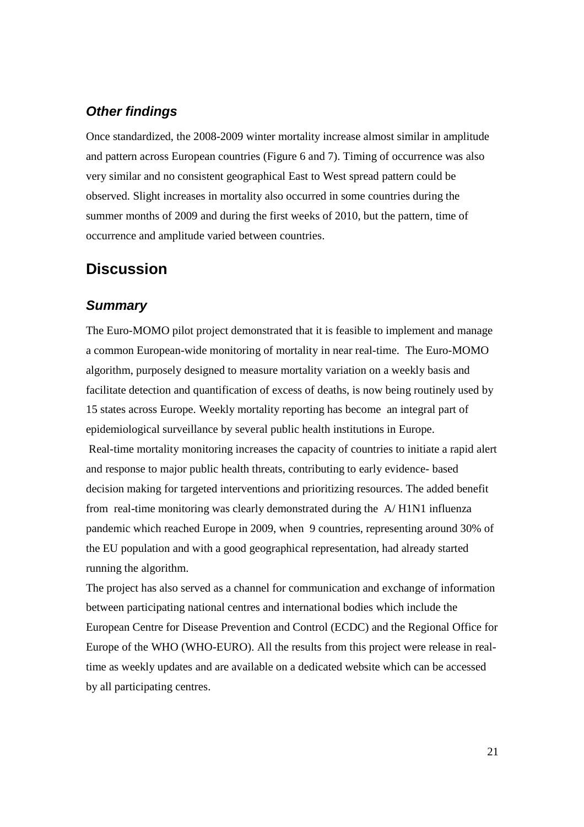## **Other findings**

Once standardized, the 2008-2009 winter mortality increase almost similar in amplitude and pattern across European countries (Figure 6 and 7). Timing of occurrence was also very similar and no consistent geographical East to West spread pattern could be observed. Slight increases in mortality also occurred in some countries during the summer months of 2009 and during the first weeks of 2010, but the pattern, time of occurrence and amplitude varied between countries.

## **Discussion**

### **Summary**

The Euro-MOMO pilot project demonstrated that it is feasible to implement and manage a common European-wide monitoring of mortality in near real-time. The Euro-MOMO algorithm, purposely designed to measure mortality variation on a weekly basis and facilitate detection and quantification of excess of deaths, is now being routinely used by 15 states across Europe. Weekly mortality reporting has become an integral part of epidemiological surveillance by several public health institutions in Europe. Real-time mortality monitoring increases the capacity of countries to initiate a rapid alert and response to major public health threats, contributing to early evidence- based decision making for targeted interventions and prioritizing resources. The added benefit from real-time monitoring was clearly demonstrated during the A/ H1N1 influenza pandemic which reached Europe in 2009, when 9 countries, representing around 30% of the EU population and with a good geographical representation, had already started running the algorithm.

The project has also served as a channel for communication and exchange of information between participating national centres and international bodies which include the European Centre for Disease Prevention and Control (ECDC) and the Regional Office for Europe of the WHO (WHO-EURO). All the results from this project were release in realtime as weekly updates and are available on a dedicated website which can be accessed by all participating centres.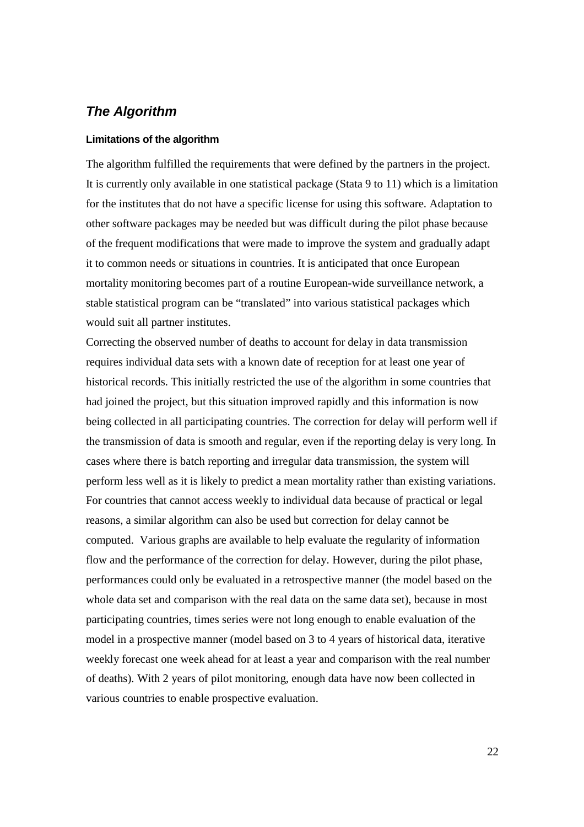## **The Algorithm**

#### **Limitations of the algorithm**

The algorithm fulfilled the requirements that were defined by the partners in the project. It is currently only available in one statistical package (Stata 9 to 11) which is a limitation for the institutes that do not have a specific license for using this software. Adaptation to other software packages may be needed but was difficult during the pilot phase because of the frequent modifications that were made to improve the system and gradually adapt it to common needs or situations in countries. It is anticipated that once European mortality monitoring becomes part of a routine European-wide surveillance network, a stable statistical program can be "translated" into various statistical packages which would suit all partner institutes.

Correcting the observed number of deaths to account for delay in data transmission requires individual data sets with a known date of reception for at least one year of historical records. This initially restricted the use of the algorithm in some countries that had joined the project, but this situation improved rapidly and this information is now being collected in all participating countries. The correction for delay will perform well if the transmission of data is smooth and regular, even if the reporting delay is very long. In cases where there is batch reporting and irregular data transmission, the system will perform less well as it is likely to predict a mean mortality rather than existing variations. For countries that cannot access weekly to individual data because of practical or legal reasons, a similar algorithm can also be used but correction for delay cannot be computed. Various graphs are available to help evaluate the regularity of information flow and the performance of the correction for delay. However, during the pilot phase, performances could only be evaluated in a retrospective manner (the model based on the whole data set and comparison with the real data on the same data set), because in most participating countries, times series were not long enough to enable evaluation of the model in a prospective manner (model based on 3 to 4 years of historical data, iterative weekly forecast one week ahead for at least a year and comparison with the real number of deaths). With 2 years of pilot monitoring, enough data have now been collected in various countries to enable prospective evaluation.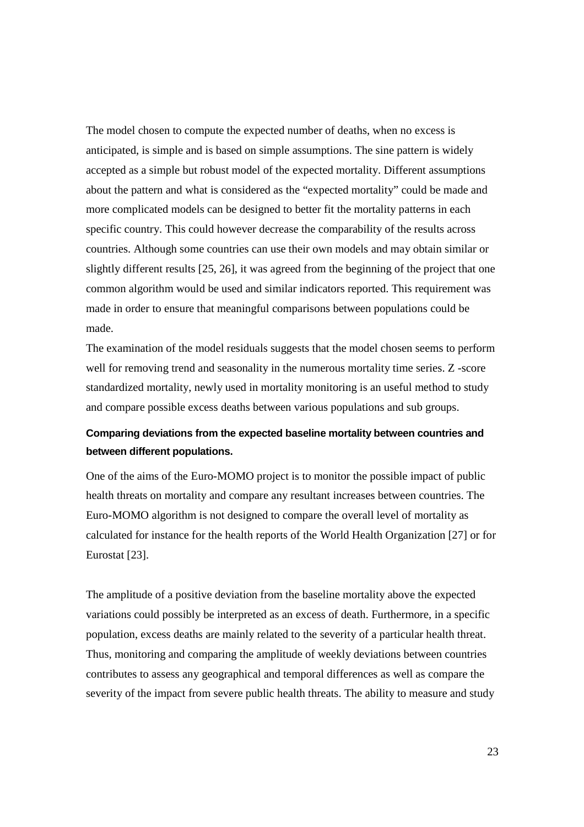The model chosen to compute the expected number of deaths, when no excess is anticipated, is simple and is based on simple assumptions. The sine pattern is widely accepted as a simple but robust model of the expected mortality. Different assumptions about the pattern and what is considered as the "expected mortality" could be made and more complicated models can be designed to better fit the mortality patterns in each specific country. This could however decrease the comparability of the results across countries. Although some countries can use their own models and may obtain similar or slightly different results [25, 26], it was agreed from the beginning of the project that one common algorithm would be used and similar indicators reported. This requirement was made in order to ensure that meaningful comparisons between populations could be made.

The examination of the model residuals suggests that the model chosen seems to perform well for removing trend and seasonality in the numerous mortality time series. Z -score standardized mortality, newly used in mortality monitoring is an useful method to study and compare possible excess deaths between various populations and sub groups.

## **Comparing deviations from the expected baseline mortality between countries and between different populations.**

One of the aims of the Euro-MOMO project is to monitor the possible impact of public health threats on mortality and compare any resultant increases between countries. The Euro-MOMO algorithm is not designed to compare the overall level of mortality as calculated for instance for the health reports of the World Health Organization [27] or for Eurostat [23].

The amplitude of a positive deviation from the baseline mortality above the expected variations could possibly be interpreted as an excess of death. Furthermore, in a specific population, excess deaths are mainly related to the severity of a particular health threat. Thus, monitoring and comparing the amplitude of weekly deviations between countries contributes to assess any geographical and temporal differences as well as compare the severity of the impact from severe public health threats. The ability to measure and study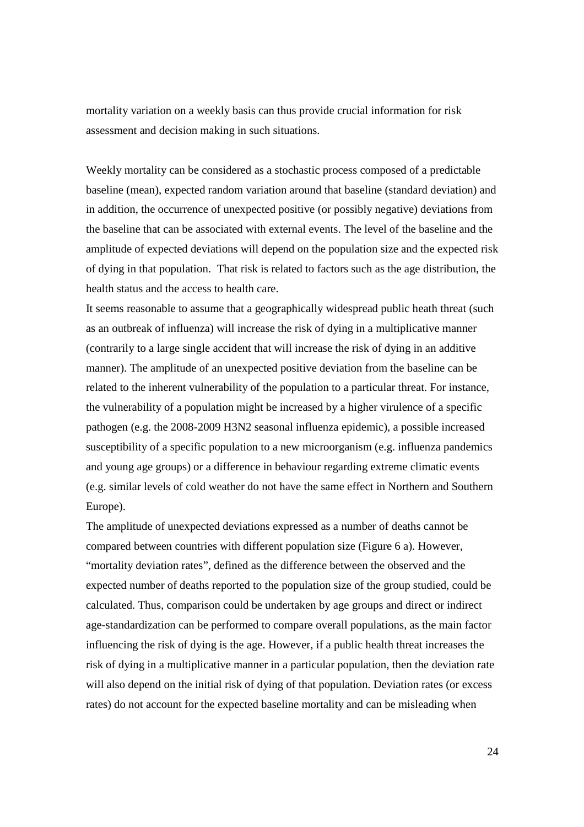mortality variation on a weekly basis can thus provide crucial information for risk assessment and decision making in such situations.

Weekly mortality can be considered as a stochastic process composed of a predictable baseline (mean), expected random variation around that baseline (standard deviation) and in addition, the occurrence of unexpected positive (or possibly negative) deviations from the baseline that can be associated with external events. The level of the baseline and the amplitude of expected deviations will depend on the population size and the expected risk of dying in that population. That risk is related to factors such as the age distribution, the health status and the access to health care.

It seems reasonable to assume that a geographically widespread public heath threat (such as an outbreak of influenza) will increase the risk of dying in a multiplicative manner (contrarily to a large single accident that will increase the risk of dying in an additive manner). The amplitude of an unexpected positive deviation from the baseline can be related to the inherent vulnerability of the population to a particular threat. For instance, the vulnerability of a population might be increased by a higher virulence of a specific pathogen (e.g. the 2008-2009 H3N2 seasonal influenza epidemic), a possible increased susceptibility of a specific population to a new microorganism (e.g. influenza pandemics and young age groups) or a difference in behaviour regarding extreme climatic events (e.g. similar levels of cold weather do not have the same effect in Northern and Southern Europe).

The amplitude of unexpected deviations expressed as a number of deaths cannot be compared between countries with different population size (Figure 6 a). However, "mortality deviation rates", defined as the difference between the observed and the expected number of deaths reported to the population size of the group studied, could be calculated. Thus, comparison could be undertaken by age groups and direct or indirect age-standardization can be performed to compare overall populations, as the main factor influencing the risk of dying is the age. However, if a public health threat increases the risk of dying in a multiplicative manner in a particular population, then the deviation rate will also depend on the initial risk of dying of that population. Deviation rates (or excess rates) do not account for the expected baseline mortality and can be misleading when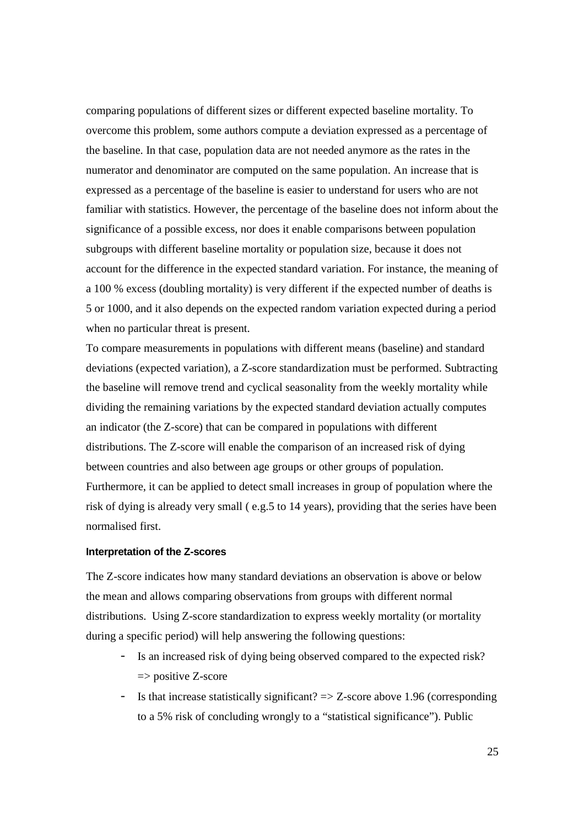comparing populations of different sizes or different expected baseline mortality. To overcome this problem, some authors compute a deviation expressed as a percentage of the baseline. In that case, population data are not needed anymore as the rates in the numerator and denominator are computed on the same population. An increase that is expressed as a percentage of the baseline is easier to understand for users who are not familiar with statistics. However, the percentage of the baseline does not inform about the significance of a possible excess, nor does it enable comparisons between population subgroups with different baseline mortality or population size, because it does not account for the difference in the expected standard variation. For instance, the meaning of a 100 % excess (doubling mortality) is very different if the expected number of deaths is 5 or 1000, and it also depends on the expected random variation expected during a period when no particular threat is present.

To compare measurements in populations with different means (baseline) and standard deviations (expected variation), a Z-score standardization must be performed. Subtracting the baseline will remove trend and cyclical seasonality from the weekly mortality while dividing the remaining variations by the expected standard deviation actually computes an indicator (the Z-score) that can be compared in populations with different distributions. The Z-score will enable the comparison of an increased risk of dying between countries and also between age groups or other groups of population. Furthermore, it can be applied to detect small increases in group of population where the risk of dying is already very small ( e.g.5 to 14 years), providing that the series have been normalised first.

#### **Interpretation of the Z-scores**

The Z-score indicates how many standard deviations an observation is above or below the mean and allows comparing observations from groups with different normal distributions. Using Z-score standardization to express weekly mortality (or mortality during a specific period) will help answering the following questions:

- Is an increased risk of dying being observed compared to the expected risk?  $\Rightarrow$  positive Z-score
- Is that increase statistically significant? => Z-score above 1.96 (corresponding to a 5% risk of concluding wrongly to a "statistical significance"). Public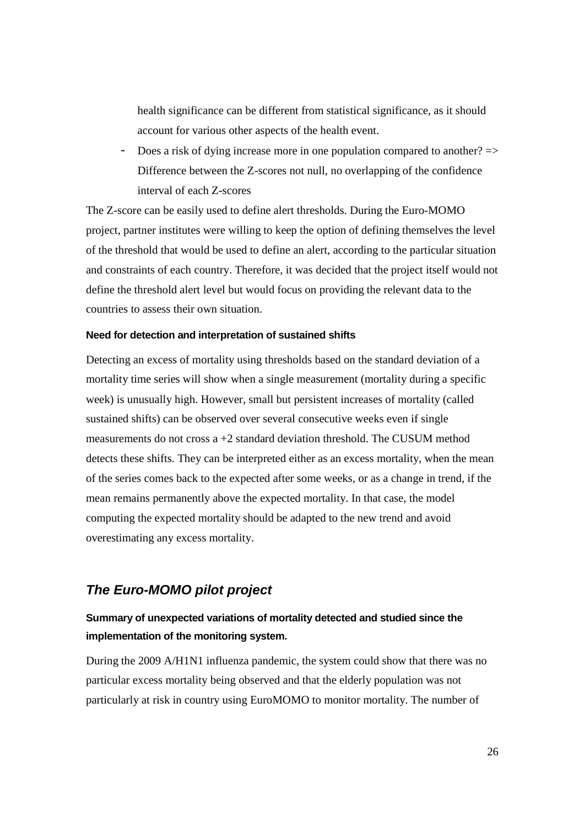health significance can be different from statistical significance, as it should account for various other aspects of the health event.

- Does a risk of dying increase more in one population compared to another?  $\Rightarrow$ Difference between the Z-scores not null, no overlapping of the confidence interval of each Z-scores

The Z-score can be easily used to define alert thresholds. During the Euro-MOMO project, partner institutes were willing to keep the option of defining themselves the level of the threshold that would be used to define an alert, according to the particular situation and constraints of each country. Therefore, it was decided that the project itself would not define the threshold alert level but would focus on providing the relevant data to the countries to assess their own situation.

#### **Need for detection and interpretation of sustained shifts**

Detecting an excess of mortality using thresholds based on the standard deviation of a mortality time series will show when a single measurement (mortality during a specific week) is unusually high. However, small but persistent increases of mortality (called sustained shifts) can be observed over several consecutive weeks even if single measurements do not cross a +2 standard deviation threshold. The CUSUM method detects these shifts. They can be interpreted either as an excess mortality, when the mean of the series comes back to the expected after some weeks, or as a change in trend, if the mean remains permanently above the expected mortality. In that case, the model computing the expected mortality should be adapted to the new trend and avoid overestimating any excess mortality.

## **The Euro-MOMO pilot project**

## **Summary of unexpected variations of mortality detected and studied since the implementation of the monitoring system.**

During the 2009 A/H1N1 influenza pandemic, the system could show that there was no particular excess mortality being observed and that the elderly population was not particularly at risk in country using EuroMOMO to monitor mortality. The number of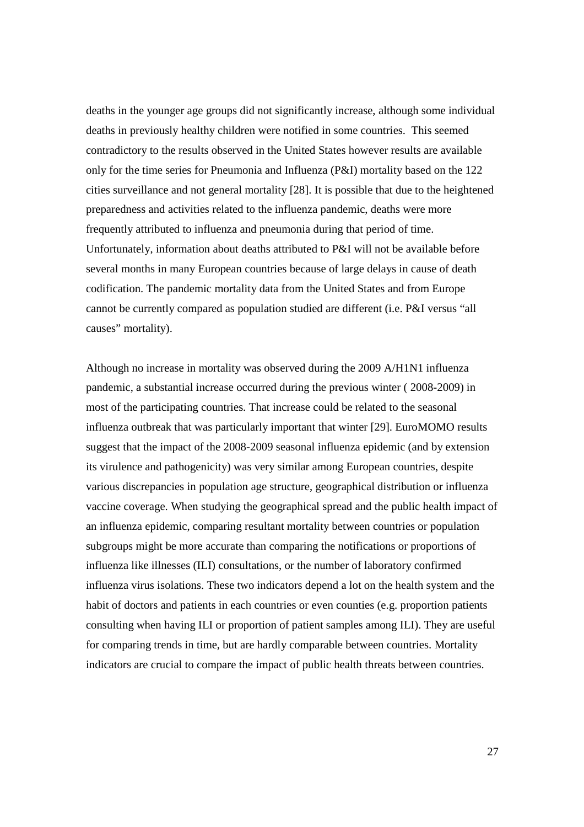deaths in the younger age groups did not significantly increase, although some individual deaths in previously healthy children were notified in some countries. This seemed contradictory to the results observed in the United States however results are available only for the time series for Pneumonia and Influenza (P&I) mortality based on the 122 cities surveillance and not general mortality [28]. It is possible that due to the heightened preparedness and activities related to the influenza pandemic, deaths were more frequently attributed to influenza and pneumonia during that period of time. Unfortunately, information about deaths attributed to P&I will not be available before several months in many European countries because of large delays in cause of death codification. The pandemic mortality data from the United States and from Europe cannot be currently compared as population studied are different (i.e. P&I versus "all causes" mortality).

Although no increase in mortality was observed during the 2009 A/H1N1 influenza pandemic, a substantial increase occurred during the previous winter ( 2008-2009) in most of the participating countries. That increase could be related to the seasonal influenza outbreak that was particularly important that winter [29]. EuroMOMO results suggest that the impact of the 2008-2009 seasonal influenza epidemic (and by extension its virulence and pathogenicity) was very similar among European countries, despite various discrepancies in population age structure, geographical distribution or influenza vaccine coverage. When studying the geographical spread and the public health impact of an influenza epidemic, comparing resultant mortality between countries or population subgroups might be more accurate than comparing the notifications or proportions of influenza like illnesses (ILI) consultations, or the number of laboratory confirmed influenza virus isolations. These two indicators depend a lot on the health system and the habit of doctors and patients in each countries or even counties (e.g. proportion patients consulting when having ILI or proportion of patient samples among ILI). They are useful for comparing trends in time, but are hardly comparable between countries. Mortality indicators are crucial to compare the impact of public health threats between countries.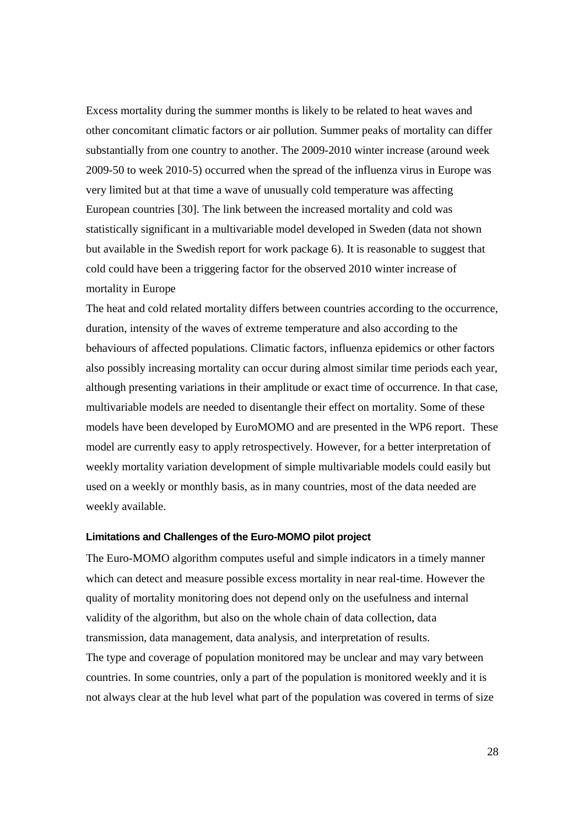Excess mortality during the summer months is likely to be related to heat waves and other concomitant climatic factors or air pollution. Summer peaks of mortality can differ substantially from one country to another. The 2009-2010 winter increase (around week 2009-50 to week 2010-5) occurred when the spread of the influenza virus in Europe was very limited but at that time a wave of unusually cold temperature was affecting European countries [30]. The link between the increased mortality and cold was statistically significant in a multivariable model developed in Sweden (data not shown but available in the Swedish report for work package 6). It is reasonable to suggest that cold could have been a triggering factor for the observed 2010 winter increase of mortality in Europe

The heat and cold related mortality differs between countries according to the occurrence, duration, intensity of the waves of extreme temperature and also according to the behaviours of affected populations. Climatic factors, influenza epidemics or other factors also possibly increasing mortality can occur during almost similar time periods each year, although presenting variations in their amplitude or exact time of occurrence. In that case, multivariable models are needed to disentangle their effect on mortality. Some of these models have been developed by EuroMOMO and are presented in the WP6 report. These model are currently easy to apply retrospectively. However, for a better interpretation of weekly mortality variation development of simple multivariable models could easily but used on a weekly or monthly basis, as in many countries, most of the data needed are weekly available.

#### **Limitations and Challenges of the Euro-MOMO pilot project**

The Euro-MOMO algorithm computes useful and simple indicators in a timely manner which can detect and measure possible excess mortality in near real-time. However the quality of mortality monitoring does not depend only on the usefulness and internal validity of the algorithm, but also on the whole chain of data collection, data transmission, data management, data analysis, and interpretation of results. The type and coverage of population monitored may be unclear and may vary between countries. In some countries, only a part of the population is monitored weekly and it is not always clear at the hub level what part of the population was covered in terms of size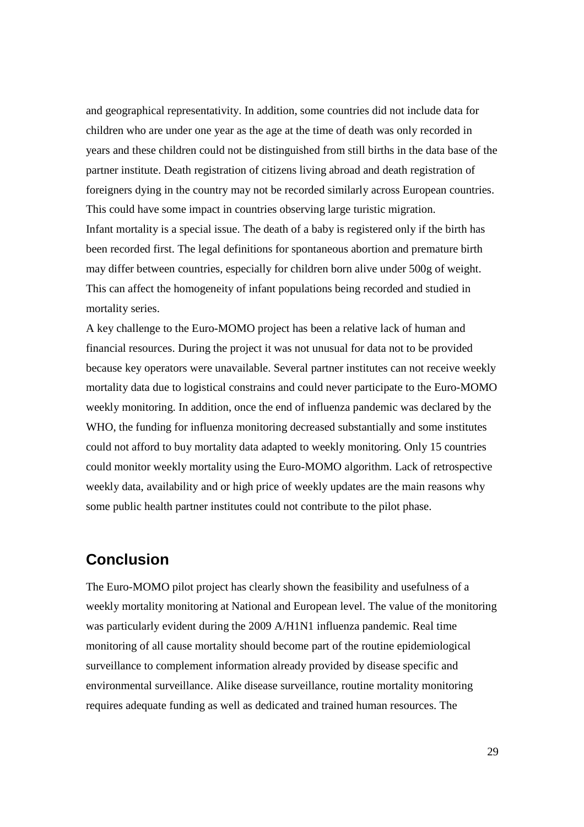and geographical representativity. In addition, some countries did not include data for children who are under one year as the age at the time of death was only recorded in years and these children could not be distinguished from still births in the data base of the partner institute. Death registration of citizens living abroad and death registration of foreigners dying in the country may not be recorded similarly across European countries. This could have some impact in countries observing large turistic migration. Infant mortality is a special issue. The death of a baby is registered only if the birth has been recorded first. The legal definitions for spontaneous abortion and premature birth may differ between countries, especially for children born alive under 500g of weight. This can affect the homogeneity of infant populations being recorded and studied in mortality series.

A key challenge to the Euro-MOMO project has been a relative lack of human and financial resources. During the project it was not unusual for data not to be provided because key operators were unavailable. Several partner institutes can not receive weekly mortality data due to logistical constrains and could never participate to the Euro-MOMO weekly monitoring. In addition, once the end of influenza pandemic was declared by the WHO, the funding for influenza monitoring decreased substantially and some institutes could not afford to buy mortality data adapted to weekly monitoring. Only 15 countries could monitor weekly mortality using the Euro-MOMO algorithm. Lack of retrospective weekly data, availability and or high price of weekly updates are the main reasons why some public health partner institutes could not contribute to the pilot phase.

# **Conclusion**

The Euro-MOMO pilot project has clearly shown the feasibility and usefulness of a weekly mortality monitoring at National and European level. The value of the monitoring was particularly evident during the 2009 A/H1N1 influenza pandemic. Real time monitoring of all cause mortality should become part of the routine epidemiological surveillance to complement information already provided by disease specific and environmental surveillance. Alike disease surveillance, routine mortality monitoring requires adequate funding as well as dedicated and trained human resources. The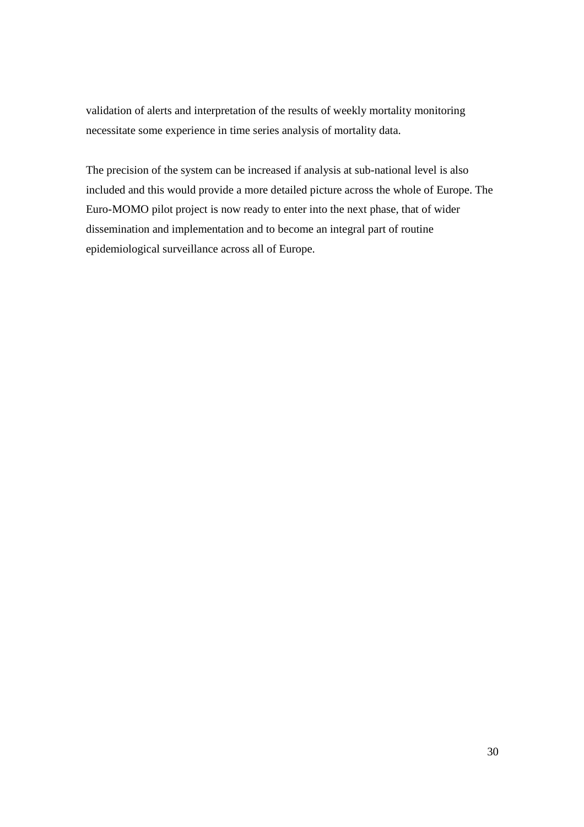validation of alerts and interpretation of the results of weekly mortality monitoring necessitate some experience in time series analysis of mortality data.

The precision of the system can be increased if analysis at sub-national level is also included and this would provide a more detailed picture across the whole of Europe. The Euro-MOMO pilot project is now ready to enter into the next phase, that of wider dissemination and implementation and to become an integral part of routine epidemiological surveillance across all of Europe.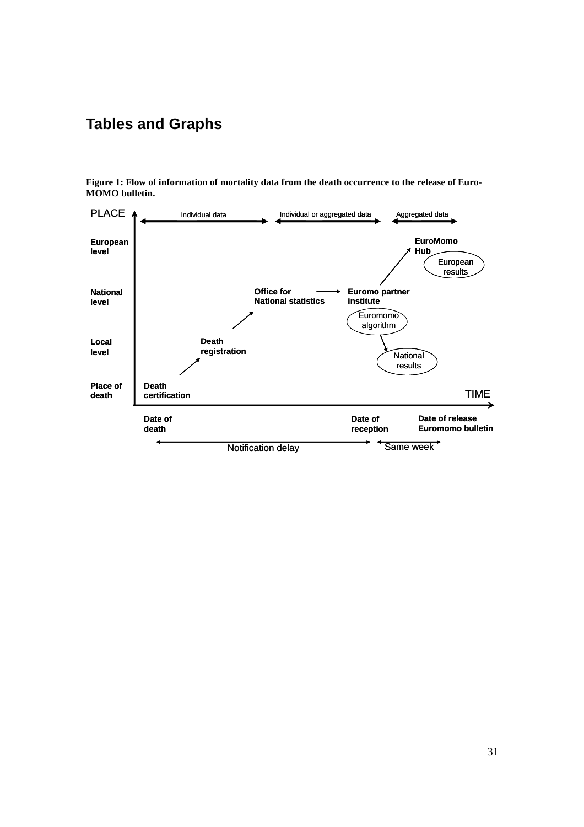# **Tables and Graphs**



**Figure 1: Flow of information of mortality data from the death occurrence to the release of Euro-MOMO bulletin.**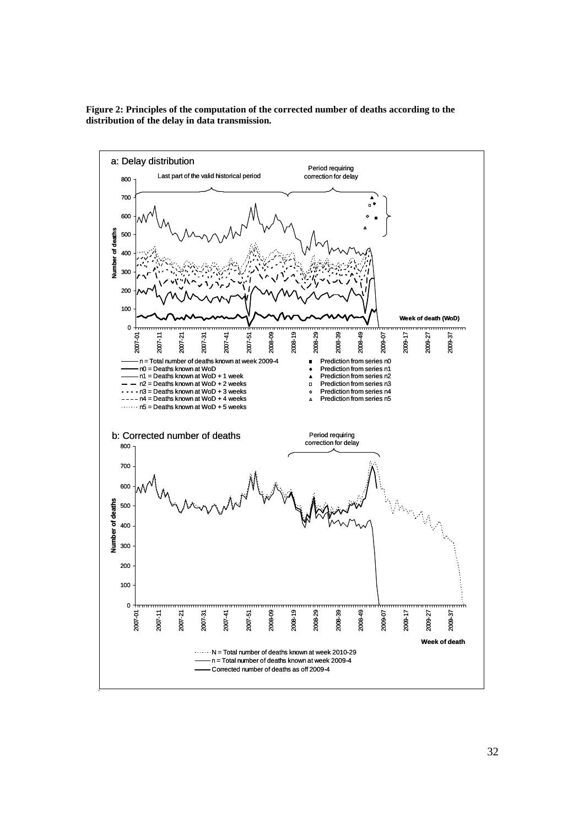

**Figure 2: Principles of the computation of the corrected number of deaths according to the distribution of the delay in data transmission.**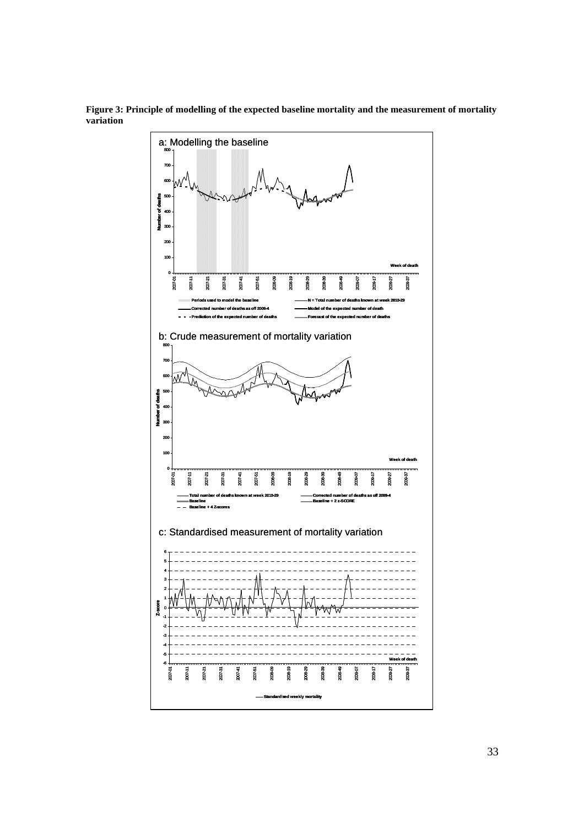

**Figure 3: Principle of modelling of the expected baseline mortality and the measurement of mortality variation**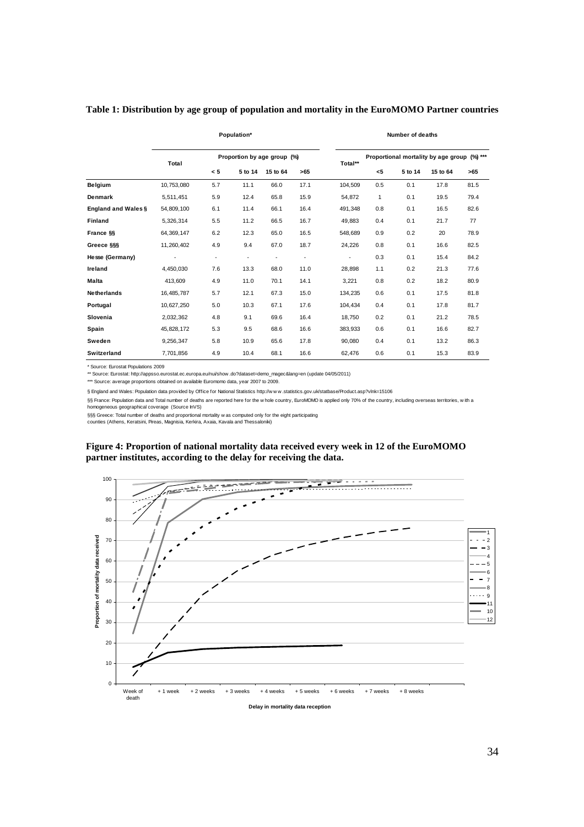#### **Table 1: Distribution by age group of population and mortality in the EuroMOMO Partner countries**

|                            | Population* |                             |                          |                          | Number of deaths         |                                             |              |         |          |      |
|----------------------------|-------------|-----------------------------|--------------------------|--------------------------|--------------------------|---------------------------------------------|--------------|---------|----------|------|
|                            | Total       | Proportion by age group (%) |                          |                          | Total**                  | Proportional mortality by age group (%) *** |              |         |          |      |
|                            |             | < 5                         | 5 to 14                  | 15 to 64                 | >65                      |                                             | $5$          | 5 to 14 | 15 to 64 | >65  |
| Belgium                    | 10,753,080  | 5.7                         | 11.1                     | 66.0                     | 17.1                     | 104,509                                     | 0.5          | 0.1     | 17.8     | 81.5 |
| <b>Denmark</b>             | 5,511,451   | 5.9                         | 12.4                     | 65.8                     | 15.9                     | 54.872                                      | $\mathbf{1}$ | 0.1     | 19.5     | 79.4 |
| <b>England and Wales §</b> | 54,809,100  | 6.1                         | 11.4                     | 66.1                     | 16.4                     | 491,348                                     | 0.8          | 0.1     | 16.5     | 82.6 |
| <b>Finland</b>             | 5,326,314   | 5.5                         | 11.2                     | 66.5                     | 16.7                     | 49.883                                      | 0.4          | 0.1     | 21.7     | 77   |
| France §§                  | 64.369.147  | 6.2                         | 12.3                     | 65.0                     | 16.5                     | 548.689                                     | 0.9          | 0.2     | 20       | 78.9 |
| Greece §§§                 | 11.260.402  | 4.9                         | 9.4                      | 67.0                     | 18.7                     | 24,226                                      | 0.8          | 0.1     | 16.6     | 82.5 |
| Hesse (Germany)            |             | $\overline{\phantom{a}}$    | $\overline{\phantom{a}}$ | $\overline{\phantom{a}}$ | $\overline{\phantom{a}}$ | $\overline{\phantom{a}}$                    | 0.3          | 0.1     | 15.4     | 84.2 |
| Ireland                    | 4.450.030   | 7.6                         | 13.3                     | 68.0                     | 11.0                     | 28.898                                      | 1.1          | 0.2     | 21.3     | 77.6 |
| <b>Malta</b>               | 413.609     | 4.9                         | 11.0                     | 70.1                     | 14.1                     | 3,221                                       | 0.8          | 0.2     | 18.2     | 80.9 |
| <b>Netherlands</b>         | 16,485,787  | 5.7                         | 12.1                     | 67.3                     | 15.0                     | 134,235                                     | 0.6          | 0.1     | 17.5     | 81.8 |
| Portugal                   | 10,627,250  | 5.0                         | 10.3                     | 67.1                     | 17.6                     | 104,434                                     | 0.4          | 0.1     | 17.8     | 81.7 |
| Slovenia                   | 2,032,362   | 4.8                         | 9.1                      | 69.6                     | 16.4                     | 18,750                                      | 0.2          | 0.1     | 21.2     | 78.5 |
| Spain                      | 45,828,172  | 5.3                         | 9.5                      | 68.6                     | 16.6                     | 383,933                                     | 0.6          | 0.1     | 16.6     | 82.7 |
| Sweden                     | 9,256,347   | 5.8                         | 10.9                     | 65.6                     | 17.8                     | 90,080                                      | 0.4          | 0.1     | 13.2     | 86.3 |
| Switzerland                | 7,701,856   | 4.9                         | 10.4                     | 68.1                     | 16.6                     | 62,476                                      | 0.6          | 0.1     | 15.3     | 83.9 |

\* Source: Eurostat Populations 2009

\*\* Source: Eurostat: http://appsso.eurostat.ec.europa.eu/nui/show .do?dataset=demo\_magec&lang=en (update 04/05/2011)

\*\*\* Source: average proportions obtained on available Euromomo data, year 2007 to 2009.

§ England and Wales: Population data provided by Office for National Statistics http://w w w .statistics.gov.uk/statbase/Product.asp?vlnk=15106

§§ France: Population data and Total number of deaths are reported here for the w hole country, EuroMOMO is applied only 70% of the country, including overseas territories, w ith a homogeneous geographical coverage (Source InVS)

§§§ Greece: Total number of deaths and proportional mortality w as computed only for the eight participating<br>counties (Athens, Keratsini, Pireas, Magnisia, Kerkira, Axaia, Kavala and Thessaloniki)

#### **Figure 4: Proportion of national mortality data received every week in 12 of the EuroMOMO partner institutes, according to the delay for receiving the data.**



34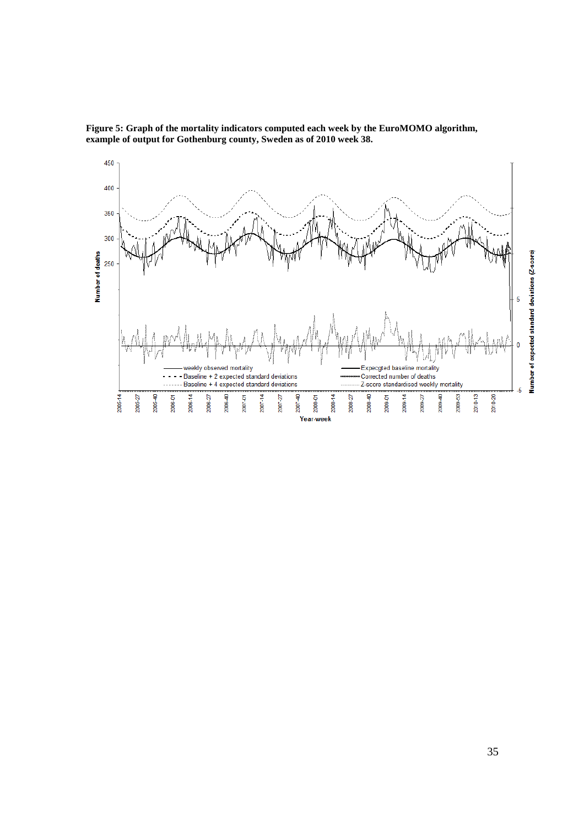

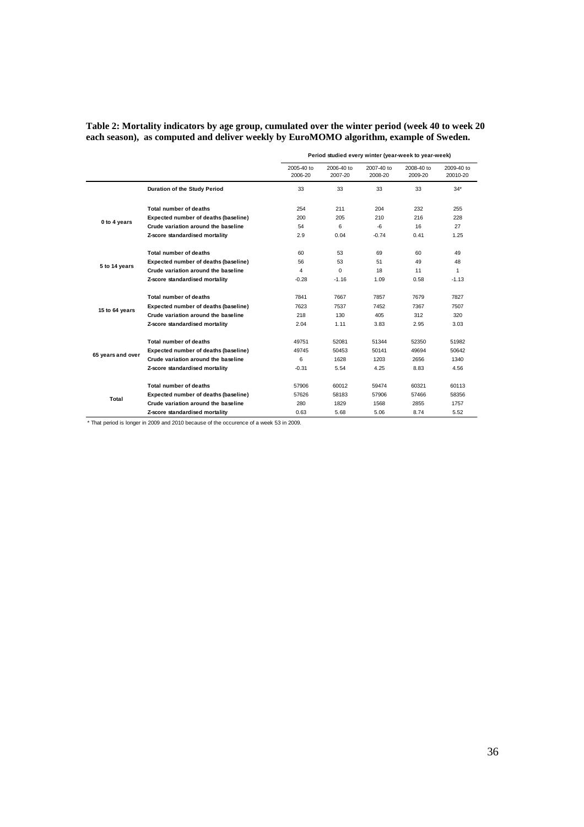#### **Table 2: Mortality indicators by age group, cumulated over the winter period (week 40 to week 20 each season), as computed and deliver weekly by EuroMOMO algorithm, example of Sweden.**

|                   |                                      | Period studied every winter (year-week to year-week) |                       |                           |                       |                        |  |  |
|-------------------|--------------------------------------|------------------------------------------------------|-----------------------|---------------------------|-----------------------|------------------------|--|--|
|                   |                                      | 2005-40 to<br>2006-20                                | 2006-40 to<br>2007-20 | $2007 - 40$ to<br>2008-20 | 2008-40 to<br>2009-20 | 2009-40 to<br>20010-20 |  |  |
|                   | Duration of the Study Period         | 33                                                   | 33                    | 33                        | 33                    | $34*$                  |  |  |
|                   | Total number of deaths               | 254                                                  | 211                   | 204                       | 232                   | 255                    |  |  |
| 0 to 4 years      | Expected number of deaths (baseline) | 200                                                  | 205                   | 210                       | 216                   | 228                    |  |  |
|                   | Crude variation around the baseline  | 54                                                   | 6                     | -6                        | 16                    | 27                     |  |  |
|                   | Z-score standardised mortality       | 2.9                                                  | 0.04                  | $-0.74$                   | 0.41                  | 1.25                   |  |  |
|                   | Total number of deaths               | 60                                                   | 53                    | 69                        | 60                    | 49                     |  |  |
|                   | Expected number of deaths (baseline) | 56                                                   | 53                    | 51                        | 49                    | 48                     |  |  |
| 5 to 14 years     | Crude variation around the baseline  | 4                                                    | $\Omega$              | 18                        | 11                    | 1                      |  |  |
|                   | Z-score standardised mortality       | $-0.28$                                              | $-1.16$               | 1.09                      | 0.58                  | $-1.13$                |  |  |
|                   | Total number of deaths               | 7841                                                 | 7667                  | 7857                      | 7679                  | 7827                   |  |  |
|                   | Expected number of deaths (baseline) | 7623                                                 | 7537                  | 7452                      | 7367                  | 7507                   |  |  |
| 15 to 64 years    | Crude variation around the baseline  | 218                                                  | 130                   | 405                       | 312                   | 320                    |  |  |
|                   | Z-score standardised mortality       | 2.04                                                 | 1.11                  | 3.83                      | 2.95                  | 3.03                   |  |  |
|                   | Total number of deaths               | 49751                                                | 52081                 | 51344                     | 52350                 | 51982                  |  |  |
| 65 years and over | Expected number of deaths (baseline) | 49745                                                | 50453                 | 50141                     | 49694                 | 50642                  |  |  |
|                   | Crude variation around the baseline  | 6                                                    | 1628                  | 1203                      | 2656                  | 1340                   |  |  |
|                   | Z-score standardised mortality       | $-0.31$                                              | 5.54                  | 4.25                      | 8.83                  | 4.56                   |  |  |
|                   | Total number of deaths               | 57906                                                | 60012                 | 59474                     | 60321                 | 60113                  |  |  |
|                   | Expected number of deaths (baseline) | 57626                                                | 58183                 | 57906                     | 57466                 | 58356                  |  |  |
| Total             | Crude variation around the baseline  | 280                                                  | 1829                  | 1568                      | 2855                  | 1757                   |  |  |
|                   | Z-score standardised mortality       | 0.63                                                 | 5.68                  | 5.06                      | 8.74                  | 5.52                   |  |  |

\* That period is longer in 2009 and 2010 because of the occurence of a week 53 in 2009.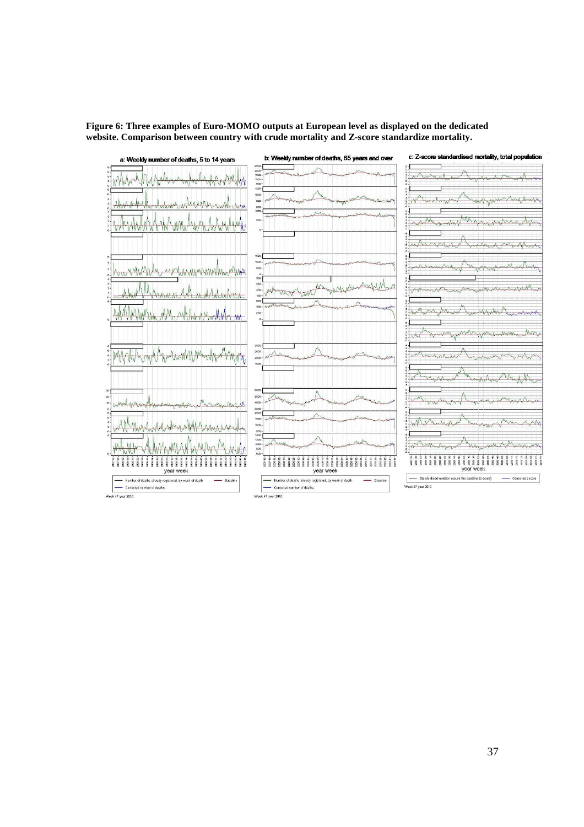**Figure 6: Three examples of Euro-MOMO outputs at European level as displayed on the dedicated website. Comparison between country with crude mortality and Z-score standardize mortality.** 

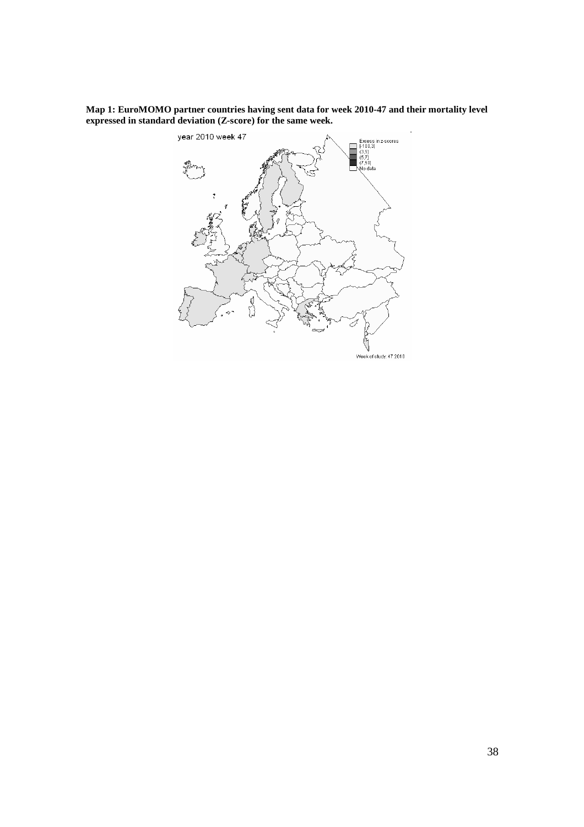**Map 1: EuroMOMO partner countries having sent data for week 2010-47 and their mortality level expressed in standard deviation (Z-score) for the same week.** 

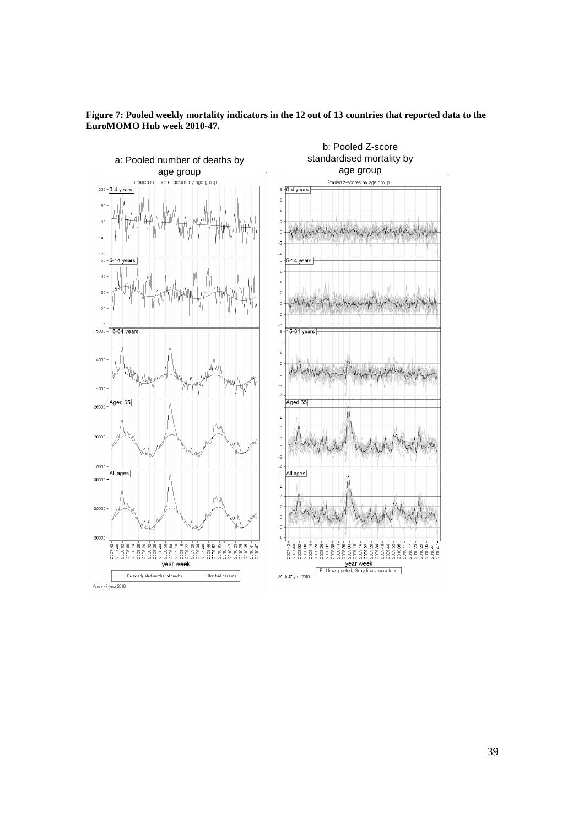

**Figure 7: Pooled weekly mortality indicators in the 12 out of 13 countries that reported data to the EuroMOMO Hub week 2010-47.**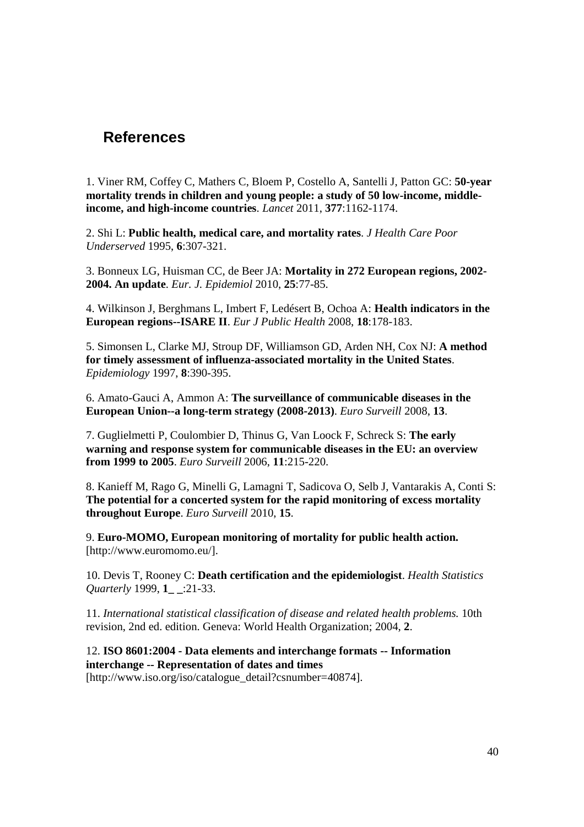# **References**

1. Viner RM, Coffey C, Mathers C, Bloem P, Costello A, Santelli J, Patton GC: **50-year mortality trends in children and young people: a study of 50 low-income, middleincome, and high-income countries**. *Lancet* 2011, **377**:1162-1174.

2. Shi L: **Public health, medical care, and mortality rates**. *J Health Care Poor Underserved* 1995, **6**:307-321.

3. Bonneux LG, Huisman CC, de Beer JA: **Mortality in 272 European regions, 2002- 2004. An update**. *Eur. J. Epidemiol* 2010, **25**:77-85.

4. Wilkinson J, Berghmans L, Imbert F, Ledésert B, Ochoa A: **Health indicators in the European regions--ISARE II**. *Eur J Public Health* 2008, **18**:178-183.

5. Simonsen L, Clarke MJ, Stroup DF, Williamson GD, Arden NH, Cox NJ: **A method for timely assessment of influenza-associated mortality in the United States**. *Epidemiology* 1997, **8**:390-395.

6. Amato-Gauci A, Ammon A: **The surveillance of communicable diseases in the European Union--a long-term strategy (2008-2013)**. *Euro Surveill* 2008, **13**.

7. Guglielmetti P, Coulombier D, Thinus G, Van Loock F, Schreck S: **The early warning and response system for communicable diseases in the EU: an overview from 1999 to 2005**. *Euro Surveill* 2006, **11**:215-220.

8. Kanieff M, Rago G, Minelli G, Lamagni T, Sadicova O, Selb J, Vantarakis A, Conti S: **The potential for a concerted system for the rapid monitoring of excess mortality throughout Europe**. *Euro Surveill* 2010, **15**.

9. **Euro-MOMO, European monitoring of mortality for public health action.** [http://www.euromomo.eu/].

10. Devis T, Rooney C: **Death certification and the epidemiologist**. *Health Statistics Quarterly* 1999, **1\_ \_**:21-33.

11. *International statistical classification of disease and related health problems.* 10th revision, 2nd ed. edition. Geneva: World Health Organization; 2004, **2**.

12. **ISO 8601:2004 - Data elements and interchange formats -- Information interchange -- Representation of dates and times**

[http://www.iso.org/iso/catalogue\_detail?csnumber=40874].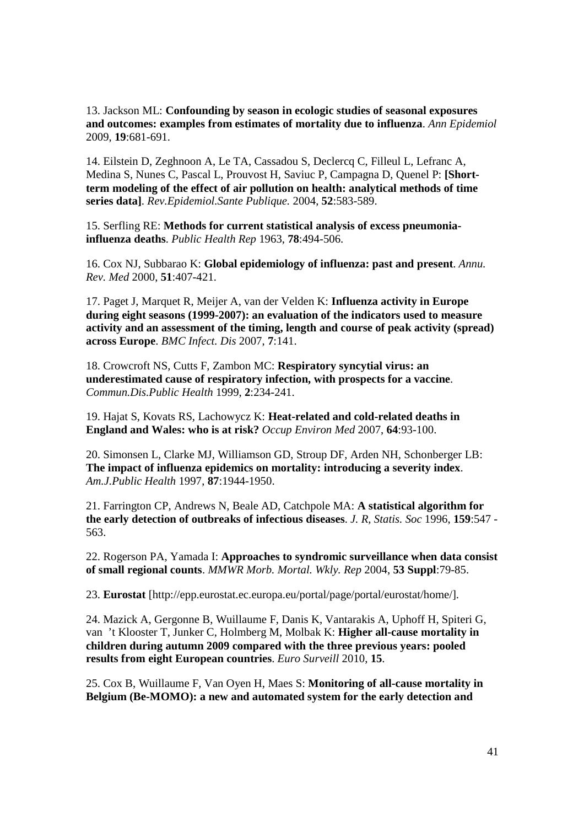13. Jackson ML: **Confounding by season in ecologic studies of seasonal exposures and outcomes: examples from estimates of mortality due to influenza**. *Ann Epidemiol* 2009, **19**:681-691.

14. Eilstein D, Zeghnoon A, Le TA, Cassadou S, Declercq C, Filleul L, Lefranc A, Medina S, Nunes C, Pascal L, Prouvost H, Saviuc P, Campagna D, Quenel P: **[Shortterm modeling of the effect of air pollution on health: analytical methods of time series data]**. *Rev.Epidemiol.Sante Publique.* 2004, **52**:583-589.

15. Serfling RE: **Methods for current statistical analysis of excess pneumoniainfluenza deaths**. *Public Health Rep* 1963, **78**:494-506.

16. Cox NJ, Subbarao K: **Global epidemiology of influenza: past and present**. *Annu. Rev. Med* 2000, **51**:407-421.

17. Paget J, Marquet R, Meijer A, van der Velden K: **Influenza activity in Europe during eight seasons (1999-2007): an evaluation of the indicators used to measure activity and an assessment of the timing, length and course of peak activity (spread) across Europe**. *BMC Infect. Dis* 2007, **7**:141.

18. Crowcroft NS, Cutts F, Zambon MC: **Respiratory syncytial virus: an underestimated cause of respiratory infection, with prospects for a vaccine**. *Commun.Dis.Public Health* 1999, **2**:234-241.

19. Hajat S, Kovats RS, Lachowycz K: **Heat-related and cold-related deaths in England and Wales: who is at risk?** *Occup Environ Med* 2007, **64**:93-100.

20. Simonsen L, Clarke MJ, Williamson GD, Stroup DF, Arden NH, Schonberger LB: **The impact of influenza epidemics on mortality: introducing a severity index**. *Am.J.Public Health* 1997, **87**:1944-1950.

21. Farrington CP, Andrews N, Beale AD, Catchpole MA: **A statistical algorithm for the early detection of outbreaks of infectious diseases**. *J. R, Statis. Soc* 1996, **159**:547 - 563.

22. Rogerson PA, Yamada I: **Approaches to syndromic surveillance when data consist of small regional counts**. *MMWR Morb. Mortal. Wkly. Rep* 2004, **53 Suppl**:79-85.

23. **Eurostat** [http://epp.eurostat.ec.europa.eu/portal/page/portal/eurostat/home/].

24. Mazick A, Gergonne B, Wuillaume F, Danis K, Vantarakis A, Uphoff H, Spiteri G, van 't Klooster T, Junker C, Holmberg M, Molbak K: **Higher all-cause mortality in children during autumn 2009 compared with the three previous years: pooled results from eight European countries**. *Euro Surveill* 2010, **15**.

25. Cox B, Wuillaume F, Van Oyen H, Maes S: **Monitoring of all-cause mortality in Belgium (Be-MOMO): a new and automated system for the early detection and**